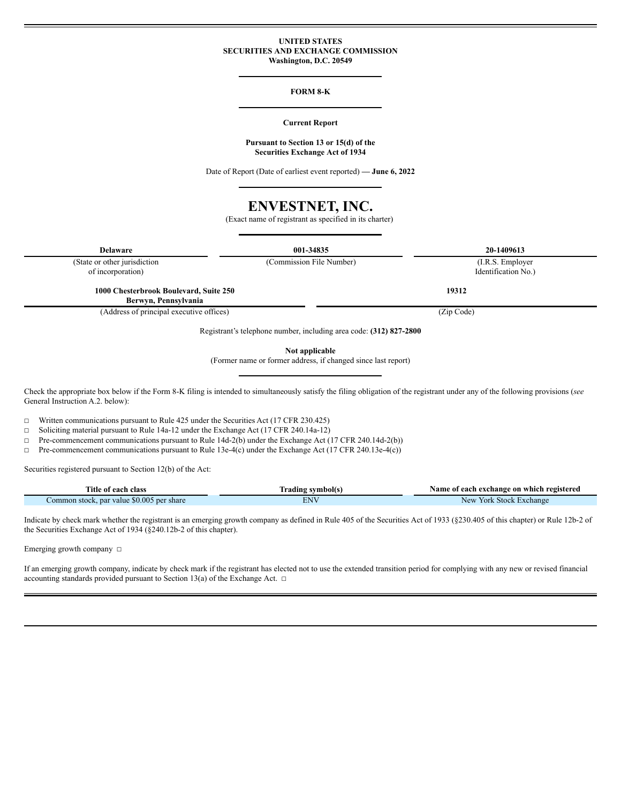#### **UNITED STATES SECURITIES AND EXCHANGE COMMISSION Washington, D.C. 20549**

#### **FORM 8-K**

#### **Current Report**

#### **Pursuant to Section 13 or 15(d) of the Securities Exchange Act of 1934**

Date of Report (Date of earliest event reported) **— June 6, 2022**

# **ENVESTNET, INC.**

(Exact name of registrant as specified in its charter)

**Delaware 001-34835 20-1409613**

(State or other jurisdiction

(Commission File Number) (I.R.S. Employer

of incorporation)

**1000 Chesterbrook Boulevard, Suite 250**

**Berwyn, Pennsylvania**

(Address of principal executive offices) (Zip Code)

**19312**

Identification No.)

Registrant's telephone number, including area code: **(312) 827-2800**

**Not applicable**

(Former name or former address, if changed since last report)

Check the appropriate box below if the Form 8-K filing is intended to simultaneously satisfy the filing obligation of the registrant under any of the following provisions (*see* General Instruction A.2. below):

 $\Box$  Written communications pursuant to Rule 425 under the Securities Act (17 CFR 230.425)

☐ Soliciting material pursuant to Rule 14a-12 under the Exchange Act (17 CFR 240.14a-12)

☐ Pre-commencement communications pursuant to Rule 14d-2(b) under the Exchange Act (17 CFR 240.14d-2(b))

☐ Pre-commencement communications pursuant to Rule 13e-4(c) under the Exchange Act (17 CFR 240.13e-4(c))

Securities registered pursuant to Section 12(b) of the Act:

| <b>Title of each class</b>                | <b><i>'rading symbol(s)</i></b> | Name of each exchange on which registered |
|-------------------------------------------|---------------------------------|-------------------------------------------|
| Common stock, par value \$0.005 per share | ENV                             | New<br>York Stock Exchange                |

Indicate by check mark whether the registrant is an emerging growth company as defined in Rule 405 of the Securities Act of 1933 (§230.405 of this chapter) or Rule 12b-2 of the Securities Exchange Act of 1934 (§240.12b-2 of this chapter).

Emerging growth company □

and and the season.

If an emerging growth company, indicate by check mark if the registrant has elected not to use the extended transition period for complying with any new or revised financial accounting standards provided pursuant to Section 13(a) of the Exchange Act.  $\Box$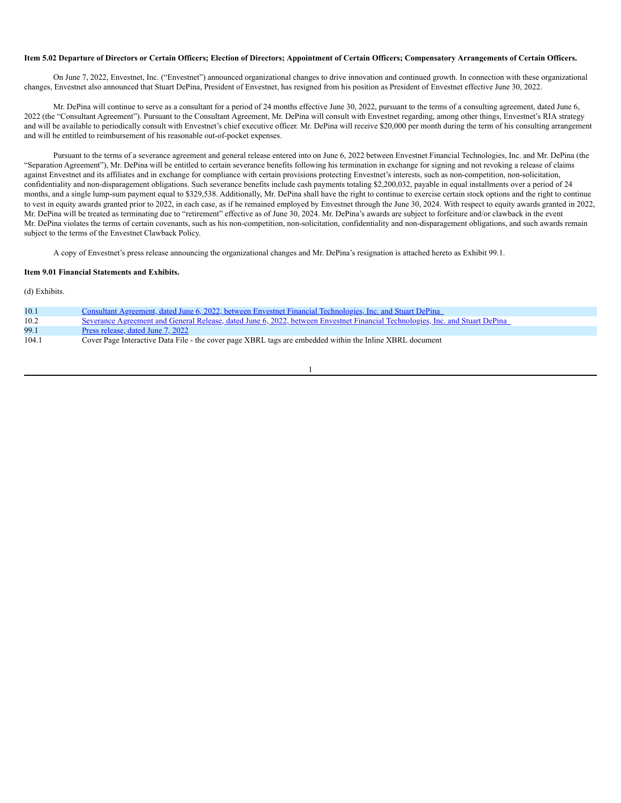#### Item 5.02 Departure of Directors or Certain Officers; Election of Directors; Appointment of Certain Officers; Compensatory Arrangements of Certain Officers.

On June 7, 2022, Envestnet, Inc. ("Envestnet") announced organizational changes to drive innovation and continued growth. In connection with these organizational changes, Envestnet also announced that Stuart DePina, President of Envestnet, has resigned from his position as President of Envestnet effective June 30, 2022.

Mr. DePina will continue to serve as a consultant for a period of 24 months effective June 30, 2022, pursuant to the terms of a consulting agreement, dated June 6, 2022 (the "Consultant Agreement"). Pursuant to the Consultant Agreement, Mr. DePina will consult with Envestnet regarding, among other things, Envestnet's RIA strategy and will be available to periodically consult with Envestnet's chief executive officer. Mr. DePina will receive \$20,000 per month during the term of his consulting arrangement and will be entitled to reimbursement of his reasonable out-of-pocket expenses.

Pursuant to the terms of a severance agreement and general release entered into on June 6, 2022 between Envestnet Financial Technologies, Inc. and Mr. DePina (the "Separation Agreement"), Mr. DePina will be entitled to certain severance benefits following his termination in exchange for signing and not revoking a release of claims against Envestnet and its affiliates and in exchange for compliance with certain provisions protecting Envestnet's interests, such as non-competition, non-solicitation, confidentiality and non-disparagement obligations. Such severance benefits include cash payments totaling \$2,200,032, payable in equal installments over a period of 24 months, and a single lump-sum payment equal to \$329,538. Additionally, Mr. DePina shall have the right to continue to exercise certain stock options and the right to continue to vest in equity awards granted prior to 2022, in each case, as if he remained employed by Envestnet through the June 30, 2024. With respect to equity awards granted in 2022, Mr. DePina will be treated as terminating due to "retirement" effective as of June 30, 2024. Mr. DePina's awards are subject to forfeiture and/or clawback in the event Mr. DePina violates the terms of certain covenants, such as his non-competition, non-solicitation, confidentiality and non-disparagement obligations, and such awards remain subject to the terms of the Envestnet Clawback Policy.

A copy of Envestnet's press release announcing the organizational changes and Mr. DePina's resignation is attached hereto as Exhibit 99.1.

#### **Item 9.01 Financial Statements and Exhibits.**

(d) Exhibits.

| 10.1  | Consultant Agreement, dated June 6, 2022, between Envestnet Financial Technologies, Inc. and Stuart DePina                    |
|-------|-------------------------------------------------------------------------------------------------------------------------------|
| 10.2  | Severance Agreement and General Release, dated June 6, 2022, between Envestnet Financial Technologies, Inc. and Stuart DePina |
| 99.1  | Press release, dated June 7, 2022                                                                                             |
| 104.1 | Cover Page Interactive Data File - the cover page XBRL tags are embedded within the Inline XBRL document                      |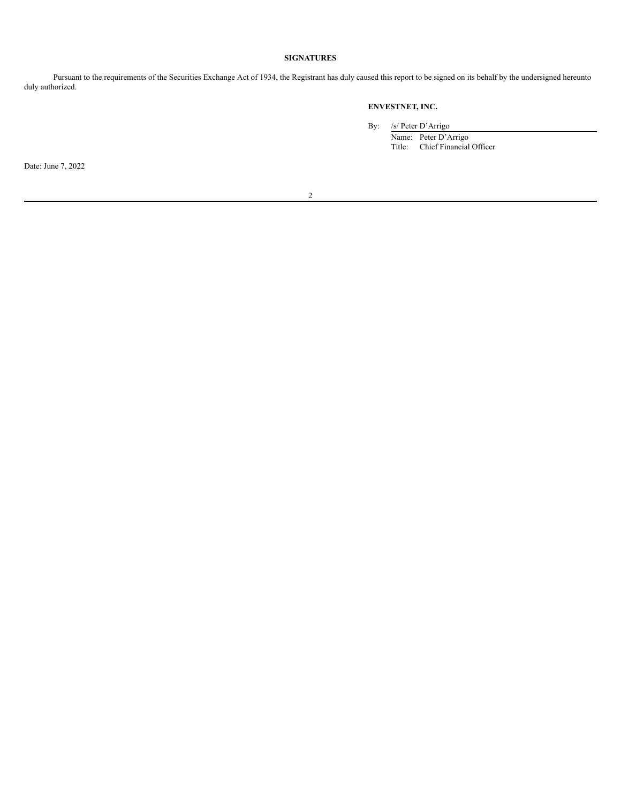# **SIGNATURES**

Pursuant to the requirements of the Securities Exchange Act of 1934, the Registrant has duly caused this report to be signed on its behalf by the undersigned hereunto duly authorized.

# **ENVESTNET, INC.**

By: /s/ Peter D'Arrigo

Name: Peter D'Arrigo Title: Chief Financial Officer

Date: June 7, 2022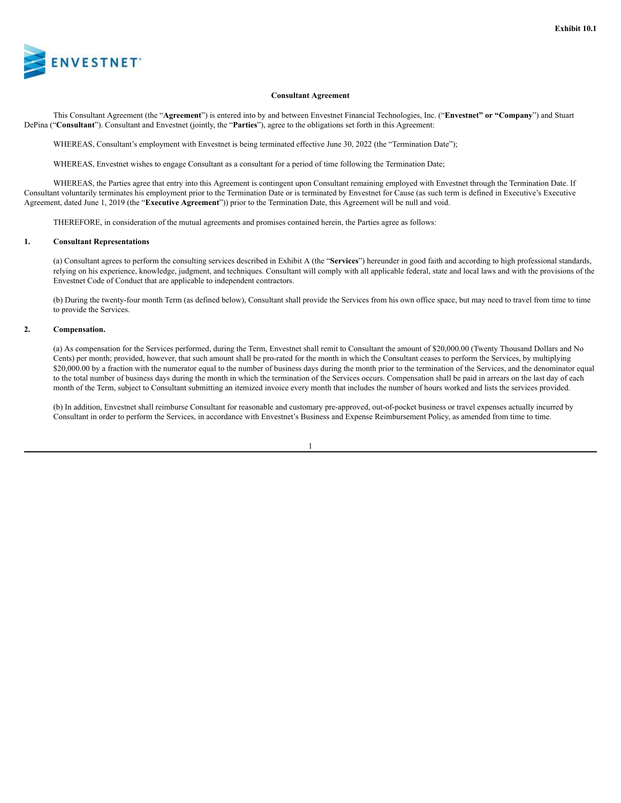

#### **Consultant Agreement**

This Consultant Agreement (the "**Agreement**") is entered into by and between Envestnet Financial Technologies, Inc. ("**Envestnet" or "Company**") and Stuart DePina ("**Consultant**"). Consultant and Envestnet (jointly, the "**Parties**"), agree to the obligations set forth in this Agreement:

WHEREAS, Consultant's employment with Envestnet is being terminated effective June 30, 2022 (the "Termination Date");

WHEREAS, Envestnet wishes to engage Consultant as a consultant for a period of time following the Termination Date;

WHEREAS, the Parties agree that entry into this Agreement is contingent upon Consultant remaining employed with Envestnet through the Termination Date. If Consultant voluntarily terminates his employment prior to the Termination Date or is terminated by Envestnet for Cause (as such term is defined in Executive's Executive Agreement, dated June 1, 2019 (the "**Executive Agreement**")) prior to the Termination Date, this Agreement will be null and void.

THEREFORE, in consideration of the mutual agreements and promises contained herein, the Parties agree as follows:

#### **1. Consultant Representations**

(a) Consultant agrees to perform the consulting services described in Exhibit A (the "**Services**") hereunder in good faith and according to high professional standards, relying on his experience, knowledge, judgment, and techniques. Consultant will comply with all applicable federal, state and local laws and with the provisions of the Envestnet Code of Conduct that are applicable to independent contractors.

(b) During the twenty-four month Term (as defined below), Consultant shall provide the Services from his own office space, but may need to travel from time to time to provide the Services.

#### **2. Compensation.**

(a) As compensation for the Services performed, during the Term, Envestnet shall remit to Consultant the amount of \$20,000.00 (Twenty Thousand Dollars and No Cents) per month; provided, however, that such amount shall be pro-rated for the month in which the Consultant ceases to perform the Services, by multiplying \$20,000.00 by a fraction with the numerator equal to the number of business days during the month prior to the termination of the Services, and the denominator equal to the total number of business days during the month in which the termination of the Services occurs. Compensation shall be paid in arrears on the last day of each month of the Term, subject to Consultant submitting an itemized invoice every month that includes the number of hours worked and lists the services provided.

(b) In addition, Envestnet shall reimburse Consultant for reasonable and customary pre-approved, out-of-pocket business or travel expenses actually incurred by Consultant in order to perform the Services, in accordance with Envestnet's Business and Expense Reimbursement Policy, as amended from time to time.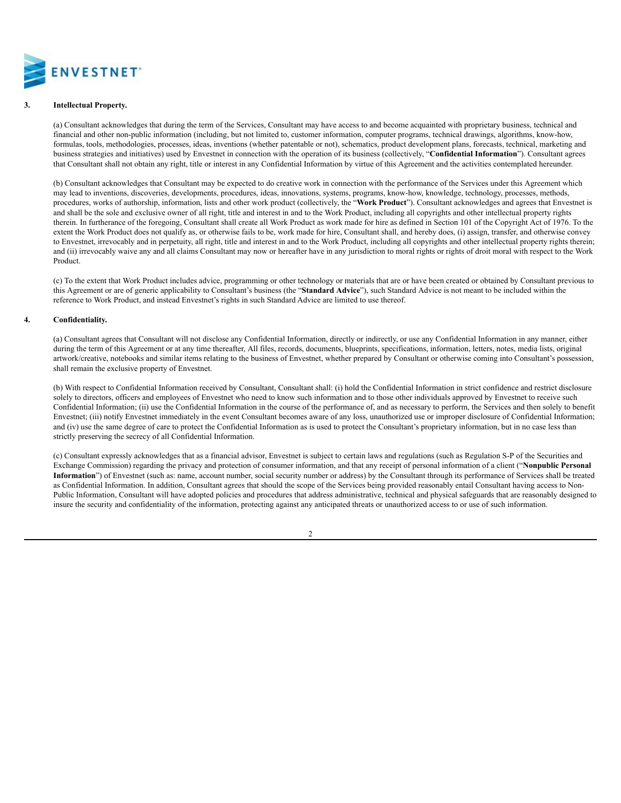

## **3. Intellectual Property.**

(a) Consultant acknowledges that during the term of the Services, Consultant may have access to and become acquainted with proprietary business, technical and financial and other non-public information (including, but not limited to, customer information, computer programs, technical drawings, algorithms, know-how, formulas, tools, methodologies, processes, ideas, inventions (whether patentable or not), schematics, product development plans, forecasts, technical, marketing and business strategies and initiatives) used by Envestnet in connection with the operation of its business (collectively, "**Confidential Information**"). Consultant agrees that Consultant shall not obtain any right, title or interest in any Confidential Information by virtue of this Agreement and the activities contemplated hereunder.

(b) Consultant acknowledges that Consultant may be expected to do creative work in connection with the performance of the Services under this Agreement which may lead to inventions, discoveries, developments, procedures, ideas, innovations, systems, programs, know-how, knowledge, technology, processes, methods, procedures, works of authorship, information, lists and other work product (collectively, the "**Work Product**"). Consultant acknowledges and agrees that Envestnet is and shall be the sole and exclusive owner of all right, title and interest in and to the Work Product, including all copyrights and other intellectual property rights therein. In furtherance of the foregoing, Consultant shall create all Work Product as work made for hire as defined in Section 101 of the Copyright Act of 1976. To the extent the Work Product does not qualify as, or otherwise fails to be, work made for hire, Consultant shall, and hereby does, (i) assign, transfer, and otherwise convey to Envestnet, irrevocably and in perpetuity, all right, title and interest in and to the Work Product, including all copyrights and other intellectual property rights therein; and (ii) irrevocably waive any and all claims Consultant may now or hereafter have in any jurisdiction to moral rights or rights of droit moral with respect to the Work Product.

(c) To the extent that Work Product includes advice, programming or other technology or materials that are or have been created or obtained by Consultant previous to this Agreement or are of generic applicability to Consultant's business (the "**Standard Advice**"), such Standard Advice is not meant to be included within the reference to Work Product, and instead Envestnet's rights in such Standard Advice are limited to use thereof.

#### **4. Confidentiality.**

(a) Consultant agrees that Consultant will not disclose any Confidential Information, directly or indirectly, or use any Confidential Information in any manner, either during the term of this Agreement or at any time thereafter, All files, records, documents, blueprints, specifications, information, letters, notes, media lists, original artwork/creative, notebooks and similar items relating to the business of Envestnet, whether prepared by Consultant or otherwise coming into Consultant's possession, shall remain the exclusive property of Envestnet.

(b) With respect to Confidential Information received by Consultant, Consultant shall: (i) hold the Confidential Information in strict confidence and restrict disclosure solely to directors, officers and employees of Envestnet who need to know such information and to those other individuals approved by Envestnet to receive such Confidential Information; (ii) use the Confidential Information in the course of the performance of, and as necessary to perform, the Services and then solely to benefit Envestnet; (iii) notify Envestnet immediately in the event Consultant becomes aware of any loss, unauthorized use or improper disclosure of Confidential Information; and (iv) use the same degree of care to protect the Confidential Information as is used to protect the Consultant's proprietary information, but in no case less than strictly preserving the secrecy of all Confidential Information.

(c) Consultant expressly acknowledges that as a financial advisor, Envestnet is subject to certain laws and regulations (such as Regulation S-P of the Securities and Exchange Commission) regarding the privacy and protection of consumer information, and that any receipt of personal information of a client ("**Nonpublic Personal Information**") of Envestnet (such as: name, account number, social security number or address) by the Consultant through its performance of Services shall be treated as Confidential Information. In addition, Consultant agrees that should the scope of the Services being provided reasonably entail Consultant having access to Non-Public Information, Consultant will have adopted policies and procedures that address administrative, technical and physical safeguards that are reasonably designed to insure the security and confidentiality of the information, protecting against any anticipated threats or unauthorized access to or use of such information.

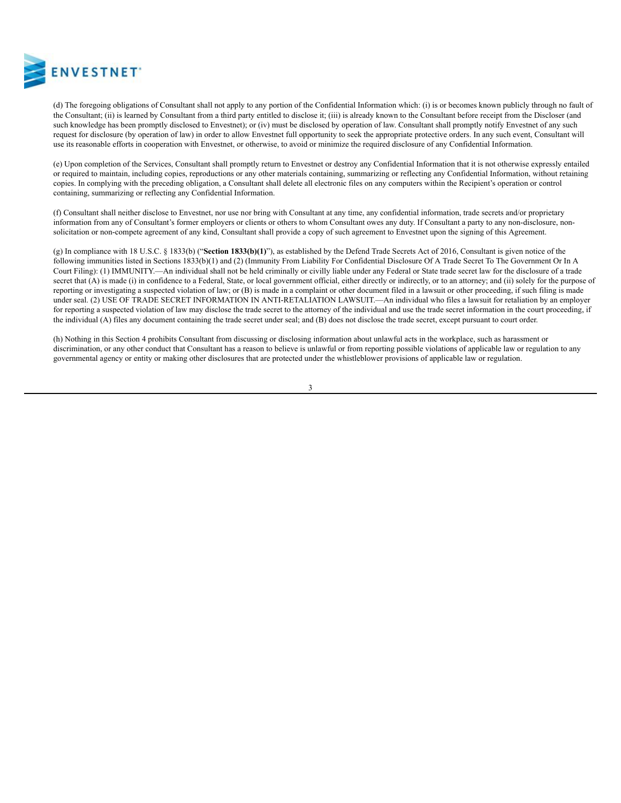

(d) The foregoing obligations of Consultant shall not apply to any portion of the Confidential Information which: (i) is or becomes known publicly through no fault of the Consultant; (ii) is learned by Consultant from a third party entitled to disclose it; (iii) is already known to the Consultant before receipt from the Discloser (and such knowledge has been promptly disclosed to Envestnet); or (iv) must be disclosed by operation of law. Consultant shall promptly notify Envestnet of any such request for disclosure (by operation of law) in order to allow Envestnet full opportunity to seek the appropriate protective orders. In any such event, Consultant will use its reasonable efforts in cooperation with Envestnet, or otherwise, to avoid or minimize the required disclosure of any Confidential Information.

(e) Upon completion of the Services, Consultant shall promptly return to Envestnet or destroy any Confidential Information that it is not otherwise expressly entailed or required to maintain, including copies, reproductions or any other materials containing, summarizing or reflecting any Confidential Information, without retaining copies. In complying with the preceding obligation, a Consultant shall delete all electronic files on any computers within the Recipient's operation or control containing, summarizing or reflecting any Confidential Information.

(f) Consultant shall neither disclose to Envestnet, nor use nor bring with Consultant at any time, any confidential information, trade secrets and/or proprietary information from any of Consultant's former employers or clients or others to whom Consultant owes any duty. If Consultant a party to any non-disclosure, nonsolicitation or non-compete agreement of any kind, Consultant shall provide a copy of such agreement to Envestnet upon the signing of this Agreement.

(g) In compliance with 18 U.S.C. § 1833(b) ("**Section 1833(b)(1)**"), as established by the Defend Trade Secrets Act of 2016, Consultant is given notice of the following immunities listed in Sections 1833(b)(1) and (2) (Immunity From Liability For Confidential Disclosure Of A Trade Secret To The Government Or In A Court Filing): (1) IMMUNITY.—An individual shall not be held criminally or civilly liable under any Federal or State trade secret law for the disclosure of a trade secret that (A) is made (i) in confidence to a Federal, State, or local government official, either directly or indirectly, or to an attorney; and (ii) solely for the purpose of reporting or investigating a suspected violation of law; or (B) is made in a complaint or other document filed in a lawsuit or other proceeding, if such filing is made under seal. (2) USE OF TRADE SECRET INFORMATION IN ANTI-RETALIATION LAWSUIT.—An individual who files a lawsuit for retaliation by an employer for reporting a suspected violation of law may disclose the trade secret to the attorney of the individual and use the trade secret information in the court proceeding, if the individual (A) files any document containing the trade secret under seal; and (B) does not disclose the trade secret, except pursuant to court order.

(h) Nothing in this Section 4 prohibits Consultant from discussing or disclosing information about unlawful acts in the workplace, such as harassment or discrimination, or any other conduct that Consultant has a reason to believe is unlawful or from reporting possible violations of applicable law or regulation to any governmental agency or entity or making other disclosures that are protected under the whistleblower provisions of applicable law or regulation.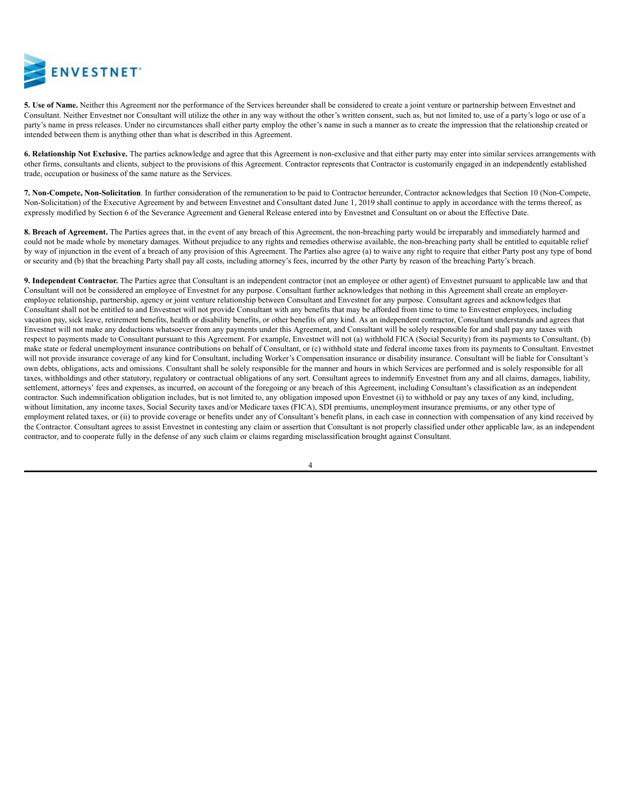

**5. Use of Name.** Neither this Agreement nor the performance of the Services hereunder shall be considered to create a joint venture or partnership between Envestnet and Consultant. Neither Envestnet nor Consultant will utilize the other in any way without the other's written consent, such as, but not limited to, use of a party's logo or use of a party's name in press releases. Under no circumstances shall either party employ the other's name in such a manner as to create the impression that the relationship created or intended between them is anything other than what is described in this Agreement.

**6. Relationship Not Exclusive.** The parties acknowledge and agree that this Agreement is non-exclusive and that either party may enter into similar services arrangements with other firms, consultants and clients, subject to the provisions of this Agreement. Contractor represents that Contractor is customarily engaged in an independently established trade, occupation or business of the same nature as the Services.

**7. Non-Compete, Non-Solicitation**. In further consideration of the remuneration to be paid to Contractor hereunder, Contractor acknowledges that Section 10 (Non-Compete, Non-Solicitation) of the Executive Agreement by and between Envestnet and Consultant dated June 1, 2019 shall continue to apply in accordance with the terms thereof, as expressly modified by Section 6 of the Severance Agreement and General Release entered into by Envestnet and Consultant on or about the Effective Date.

**8. Breach of Agreement.** The Parties agrees that, in the event of any breach of this Agreement, the non-breaching party would be irreparably and immediately harmed and could not be made whole by monetary damages. Without prejudice to any rights and remedies otherwise available, the non-breaching party shall be entitled to equitable relief by way of injunction in the event of a breach of any provision of this Agreement. The Parties also agree (a) to waive any right to require that either Party post any type of bond or security and (b) that the breaching Party shall pay all costs, including attorney's fees, incurred by the other Party by reason of the breaching Party's breach.

**9. Independent Contractor.** The Parties agree that Consultant is an independent contractor (not an employee or other agent) of Envestnet pursuant to applicable law and that Consultant will not be considered an employee of Envestnet for any purpose. Consultant further acknowledges that nothing in this Agreement shall create an employeremployee relationship, partnership, agency or joint venture relationship between Consultant and Envestnet for any purpose. Consultant agrees and acknowledges that Consultant shall not be entitled to and Envestnet will not provide Consultant with any benefits that may be afforded from time to time to Envestnet employees, including vacation pay, sick leave, retirement benefits, health or disability benefits, or other benefits of any kind. As an independent contractor, Consultant understands and agrees that Envestnet will not make any deductions whatsoever from any payments under this Agreement, and Consultant will be solely responsible for and shall pay any taxes with respect to payments made to Consultant pursuant to this Agreement. For example, Envestnet will not (a) withhold FICA (Social Security) from its payments to Consultant, (b) make state or federal unemployment insurance contributions on behalf of Consultant, or (c) withhold state and federal income taxes from its payments to Consultant. Envestnet will not provide insurance coverage of any kind for Consultant, including Worker's Compensation insurance or disability insurance. Consultant will be liable for Consultant's own debts, obligations, acts and omissions. Consultant shall be solely responsible for the manner and hours in which Services are performed and is solely responsible for all taxes, withholdings and other statutory, regulatory or contractual obligations of any sort. Consultant agrees to indemnify Envestnet from any and all claims, damages, liability, settlement, attorneys' fees and expenses, as incurred, on account of the foregoing or any breach of this Agreement, including Consultant's classification as an independent contractor. Such indemnification obligation includes, but is not limited to, any obligation imposed upon Envestnet (i) to withhold or pay any taxes of any kind, including, without limitation, any income taxes, Social Security taxes and/or Medicare taxes (FICA), SDI premiums, unemployment insurance premiums, or any other type of employment related taxes, or (ii) to provide coverage or benefits under any of Consultant's benefit plans, in each case in connection with compensation of any kind received by the Contractor. Consultant agrees to assist Envestnet in contesting any claim or assertion that Consultant is not properly classified under other applicable law, as an independent contractor, and to cooperate fully in the defense of any such claim or claims regarding misclassification brought against Consultant.

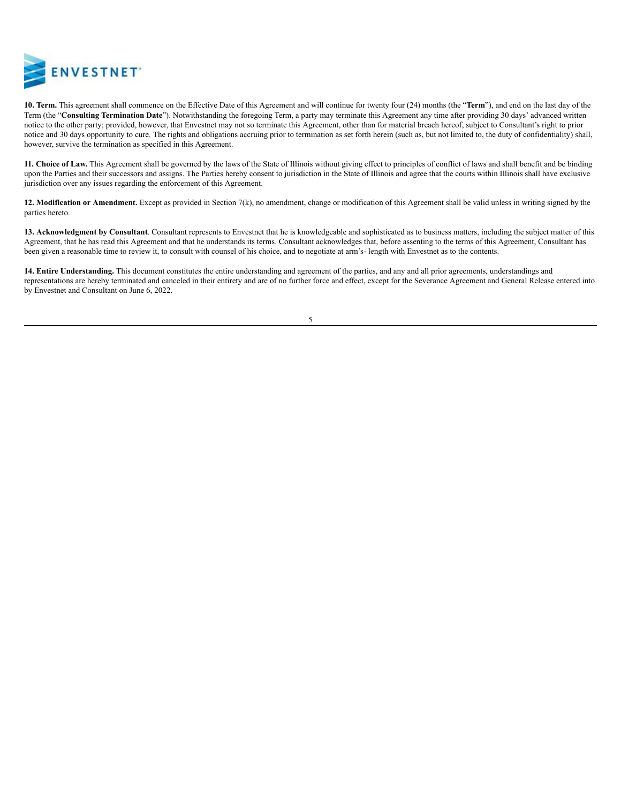

**10. Term.** This agreement shall commence on the Effective Date of this Agreement and will continue for twenty four (24) months (the "**Term**"), and end on the last day of the Term (the "**Consulting Termination Date**"). Notwithstanding the foregoing Term, a party may terminate this Agreement any time after providing 30 days' advanced written notice to the other party; provided, however, that Envestnet may not so terminate this Agreement, other than for material breach hereof, subject to Consultant's right to prior notice and 30 days opportunity to cure. The rights and obligations accruing prior to termination as set forth herein (such as, but not limited to, the duty of confidentiality) shall, however, survive the termination as specified in this Agreement.

**11. Choice of Law.** This Agreement shall be governed by the laws of the State of Illinois without giving effect to principles of conflict of laws and shall benefit and be binding upon the Parties and their successors and assigns. The Parties hereby consent to jurisdiction in the State of Illinois and agree that the courts within Illinois shall have exclusive jurisdiction over any issues regarding the enforcement of this Agreement.

**12. Modification or Amendment.** Except as provided in Section 7(k), no amendment, change or modification of this Agreement shall be valid unless in writing signed by the parties hereto.

**13. Acknowledgment by Consultant**. Consultant represents to Envestnet that he is knowledgeable and sophisticated as to business matters, including the subject matter of this Agreement, that he has read this Agreement and that he understands its terms. Consultant acknowledges that, before assenting to the terms of this Agreement, Consultant has been given a reasonable time to review it, to consult with counsel of his choice, and to negotiate at arm's- length with Envestnet as to the contents.

**14. Entire Understanding.** This document constitutes the entire understanding and agreement of the parties, and any and all prior agreements, understandings and representations are hereby terminated and canceled in their entirety and are of no further force and effect, except for the Severance Agreement and General Release entered into by Envestnet and Consultant on June 6, 2022.

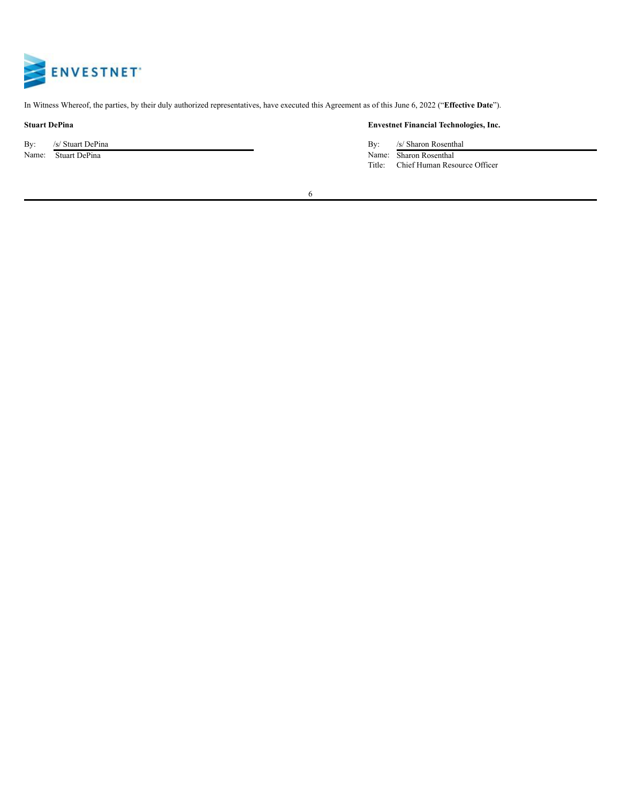

In Witness Whereof, the parties, by their duly authorized representatives, have executed this Agreement as of this June 6, 2022 ("**Effective Date**").

By: /s/ Stuart DePina By: /s/ Sharon Rosenthal

# **Stuart DePina Envestnet Financial Technologies, Inc.**

Name: Stuart DePina Name: Sharon Rosenthal Title: Chief Human Resource Officer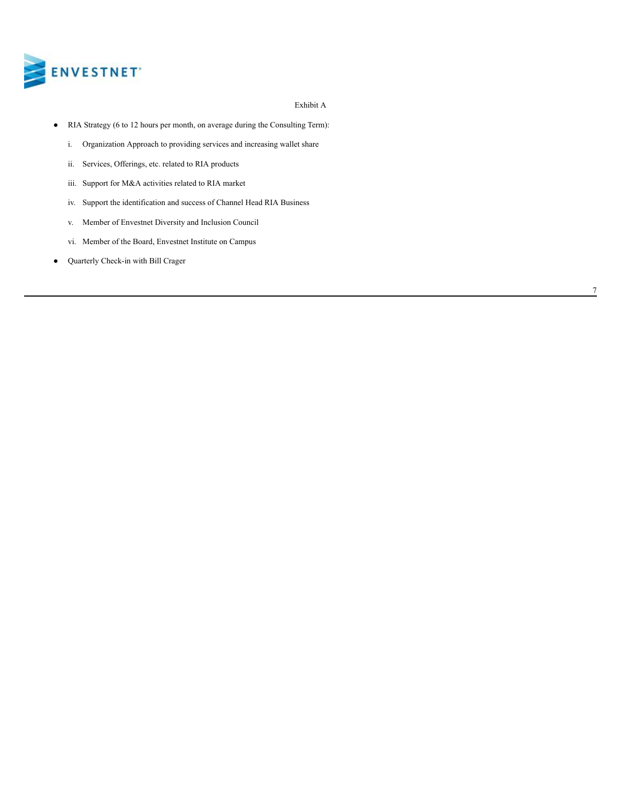

### Exhibit A

- RIA Strategy (6 to 12 hours per month, on average during the Consulting Term):
	- i. Organization Approach to providing services and increasing wallet share
	- ii. Services, Offerings, etc. related to RIA products
	- iii. Support for M&A activities related to RIA market
	- iv. Support the identification and success of Channel Head RIA Business
	- v. Member of Envestnet Diversity and Inclusion Council
	- vi. Member of the Board, Envestnet Institute on Campus
- Quarterly Check-in with Bill Crager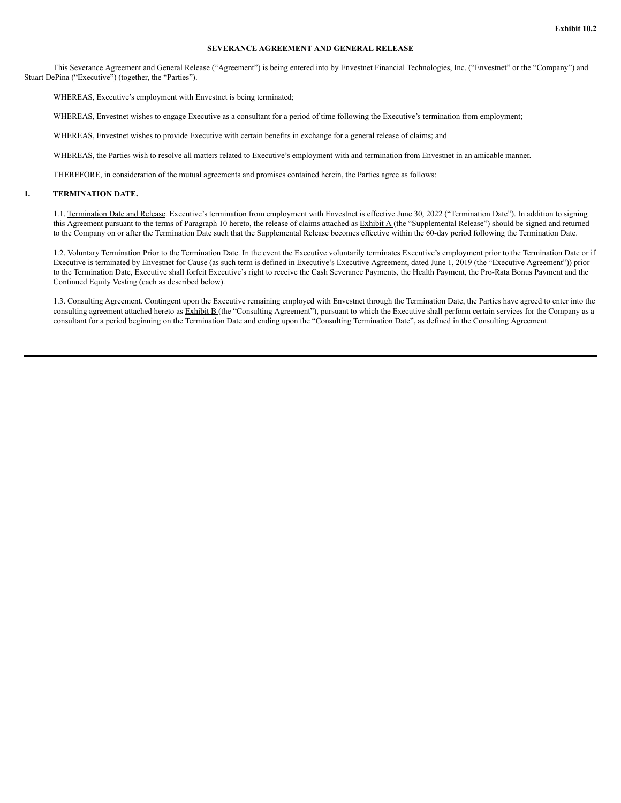### **SEVERANCE AGREEMENT AND GENERAL RELEASE**

This Severance Agreement and General Release ("Agreement") is being entered into by Envestnet Financial Technologies, Inc. ("Envestnet" or the "Company") and Stuart DePina ("Executive") (together, the "Parties").

WHEREAS, Executive's employment with Envestnet is being terminated;

WHEREAS, Envestnet wishes to engage Executive as a consultant for a period of time following the Executive's termination from employment;

WHEREAS, Envestnet wishes to provide Executive with certain benefits in exchange for a general release of claims; and

WHEREAS, the Parties wish to resolve all matters related to Executive's employment with and termination from Envestnet in an amicable manner.

THEREFORE, in consideration of the mutual agreements and promises contained herein, the Parties agree as follows:

# **1. TERMINATION DATE.**

1.1. Termination Date and Release. Executive's termination from employment with Envestnet is effective June 30, 2022 ("Termination Date"). In addition to signing this Agreement pursuant to the terms of Paragraph 10 hereto, the release of claims attached as Exhibit A (the "Supplemental Release") should be signed and returned to the Company on or after the Termination Date such that the Supplemental Release becomes effective within the 60-day period following the Termination Date.

1.2. Voluntary Termination Prior to the Termination Date. In the event the Executive voluntarily terminates Executive's employment prior to the Termination Date or if Executive is terminated by Envestnet for Cause (as such term is defined in Executive's Executive Agreement, dated June 1, 2019 (the "Executive Agreement")) prior to the Termination Date, Executive shall forfeit Executive's right to receive the Cash Severance Payments, the Health Payment, the Pro-Rata Bonus Payment and the Continued Equity Vesting (each as described below).

1.3. Consulting Agreement. Contingent upon the Executive remaining employed with Envestnet through the Termination Date, the Parties have agreed to enter into the consulting agreement attached hereto as Exhibit B (the "Consulting Agreement"), pursuant to which the Executive shall perform certain services for the Company as a consultant for a period beginning on the Termination Date and ending upon the "Consulting Termination Date", as defined in the Consulting Agreement.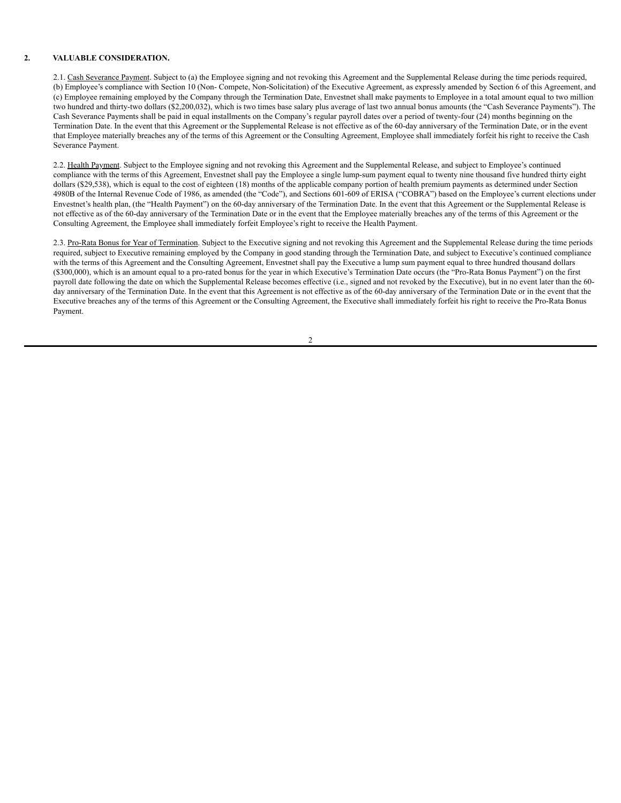#### **2. VALUABLE CONSIDERATION.**

2.1. Cash Severance Payment. Subject to (a) the Employee signing and not revoking this Agreement and the Supplemental Release during the time periods required, (b) Employee's compliance with Section 10 (Non- Compete, Non-Solicitation) of the Executive Agreement, as expressly amended by Section 6 of this Agreement, and (c) Employee remaining employed by the Company through the Termination Date, Envestnet shall make payments to Employee in a total amount equal to two million two hundred and thirty-two dollars (\$2,200,032), which is two times base salary plus average of last two annual bonus amounts (the "Cash Severance Payments"). The Cash Severance Payments shall be paid in equal installments on the Company's regular payroll dates over a period of twenty-four (24) months beginning on the Termination Date. In the event that this Agreement or the Supplemental Release is not effective as of the 60-day anniversary of the Termination Date, or in the event that Employee materially breaches any of the terms of this Agreement or the Consulting Agreement, Employee shall immediately forfeit his right to receive the Cash Severance Payment.

2.2. Health Payment. Subject to the Employee signing and not revoking this Agreement and the Supplemental Release, and subject to Employee's continued compliance with the terms of this Agreement, Envestnet shall pay the Employee a single lump-sum payment equal to twenty nine thousand five hundred thirty eight dollars (\$29,538), which is equal to the cost of eighteen (18) months of the applicable company portion of health premium payments as determined under Section 4980B of the Internal Revenue Code of 1986, as amended (the "Code"), and Sections 601-609 of ERISA ("COBRA") based on the Employee's current elections under Envestnet's health plan, (the "Health Payment") on the 60-day anniversary of the Termination Date. In the event that this Agreement or the Supplemental Release is not effective as of the 60-day anniversary of the Termination Date or in the event that the Employee materially breaches any of the terms of this Agreement or the Consulting Agreement, the Employee shall immediately forfeit Employee's right to receive the Health Payment.

2.3. Pro-Rata Bonus for Year of Termination. Subject to the Executive signing and not revoking this Agreement and the Supplemental Release during the time periods required, subject to Executive remaining employed by the Company in good standing through the Termination Date, and subject to Executive's continued compliance with the terms of this Agreement and the Consulting Agreement, Envestnet shall pay the Executive a lump sum payment equal to three hundred thousand dollars (\$300,000), which is an amount equal to a pro-rated bonus for the year in which Executive's Termination Date occurs (the "Pro-Rata Bonus Payment") on the first payroll date following the date on which the Supplemental Release becomes effective (i.e., signed and not revoked by the Executive), but in no event later than the 60 day anniversary of the Termination Date. In the event that this Agreement is not effective as of the 60-day anniversary of the Termination Date or in the event that the Executive breaches any of the terms of this Agreement or the Consulting Agreement, the Executive shall immediately forfeit his right to receive the Pro-Rata Bonus Payment.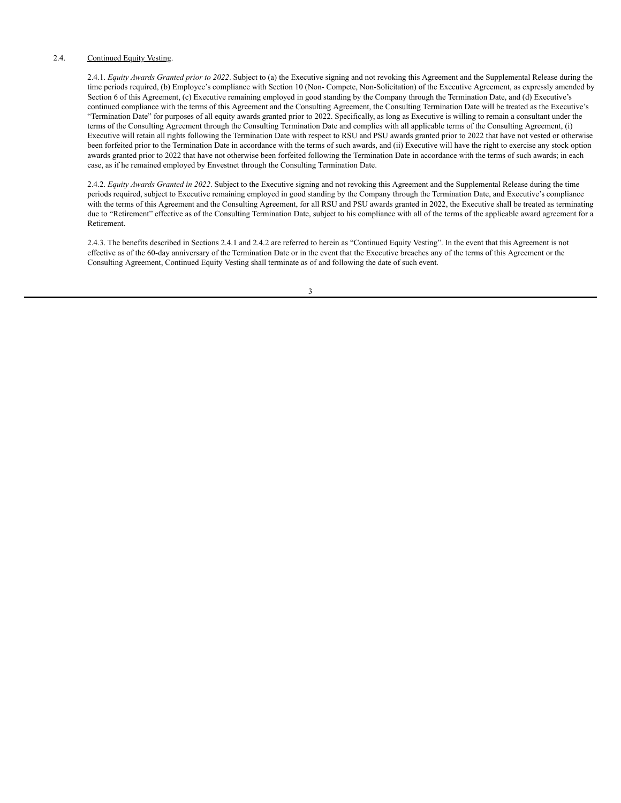#### 2.4. Continued Equity Vesting.

2.4.1. *Equity Awards Granted prior to 2022*. Subject to (a) the Executive signing and not revoking this Agreement and the Supplemental Release during the time periods required, (b) Employee's compliance with Section 10 (Non- Compete, Non-Solicitation) of the Executive Agreement, as expressly amended by Section 6 of this Agreement, (c) Executive remaining employed in good standing by the Company through the Termination Date, and (d) Executive's continued compliance with the terms of this Agreement and the Consulting Agreement, the Consulting Termination Date will be treated as the Executive's "Termination Date" for purposes of all equity awards granted prior to 2022. Specifically, as long as Executive is willing to remain a consultant under the terms of the Consulting Agreement through the Consulting Termination Date and complies with all applicable terms of the Consulting Agreement, (i) Executive will retain all rights following the Termination Date with respect to RSU and PSU awards granted prior to 2022 that have not vested or otherwise been forfeited prior to the Termination Date in accordance with the terms of such awards, and (ii) Executive will have the right to exercise any stock option awards granted prior to 2022 that have not otherwise been forfeited following the Termination Date in accordance with the terms of such awards; in each case, as if he remained employed by Envestnet through the Consulting Termination Date.

2.4.2. *Equity Awards Granted in 2022*. Subject to the Executive signing and not revoking this Agreement and the Supplemental Release during the time periods required, subject to Executive remaining employed in good standing by the Company through the Termination Date, and Executive's compliance with the terms of this Agreement and the Consulting Agreement, for all RSU and PSU awards granted in 2022, the Executive shall be treated as terminating due to "Retirement" effective as of the Consulting Termination Date, subject to his compliance with all of the terms of the applicable award agreement for a Retirement.

2.4.3. The benefits described in Sections 2.4.1 and 2.4.2 are referred to herein as "Continued Equity Vesting". In the event that this Agreement is not effective as of the 60-day anniversary of the Termination Date or in the event that the Executive breaches any of the terms of this Agreement or the Consulting Agreement, Continued Equity Vesting shall terminate as of and following the date of such event.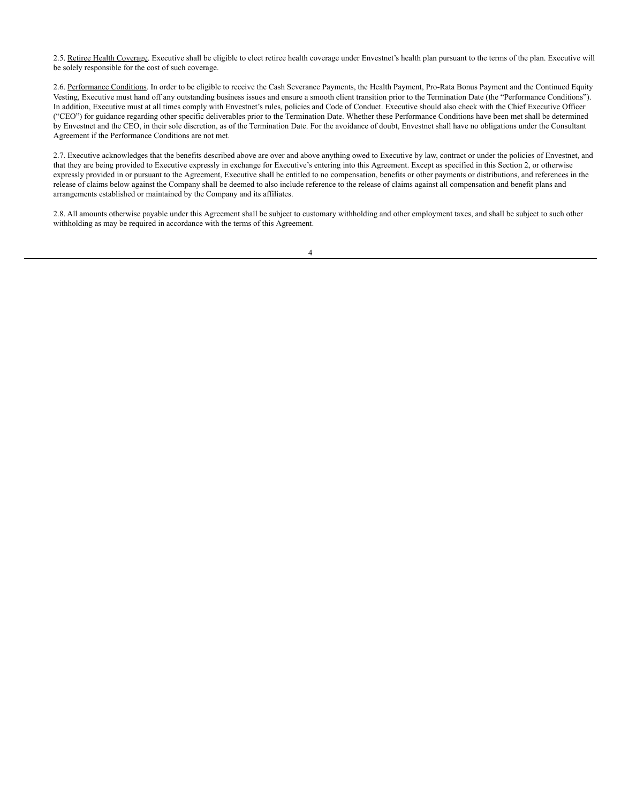2.5. Retiree Health Coverage. Executive shall be eligible to elect retiree health coverage under Envestnet's health plan pursuant to the terms of the plan. Executive will be solely responsible for the cost of such coverage.

2.6. Performance Conditions. In order to be eligible to receive the Cash Severance Payments, the Health Payment, Pro-Rata Bonus Payment and the Continued Equity Vesting, Executive must hand off any outstanding business issues and ensure a smooth client transition prior to the Termination Date (the "Performance Conditions"). In addition, Executive must at all times comply with Envestnet's rules, policies and Code of Conduct. Executive should also check with the Chief Executive Officer ("CEO") for guidance regarding other specific deliverables prior to the Termination Date. Whether these Performance Conditions have been met shall be determined by Envestnet and the CEO, in their sole discretion, as of the Termination Date. For the avoidance of doubt, Envestnet shall have no obligations under the Consultant Agreement if the Performance Conditions are not met.

2.7. Executive acknowledges that the benefits described above are over and above anything owed to Executive by law, contract or under the policies of Envestnet, and that they are being provided to Executive expressly in exchange for Executive's entering into this Agreement. Except as specified in this Section 2, or otherwise expressly provided in or pursuant to the Agreement, Executive shall be entitled to no compensation, benefits or other payments or distributions, and references in the release of claims below against the Company shall be deemed to also include reference to the release of claims against all compensation and benefit plans and arrangements established or maintained by the Company and its affiliates.

2.8. All amounts otherwise payable under this Agreement shall be subject to customary withholding and other employment taxes, and shall be subject to such other withholding as may be required in accordance with the terms of this Agreement.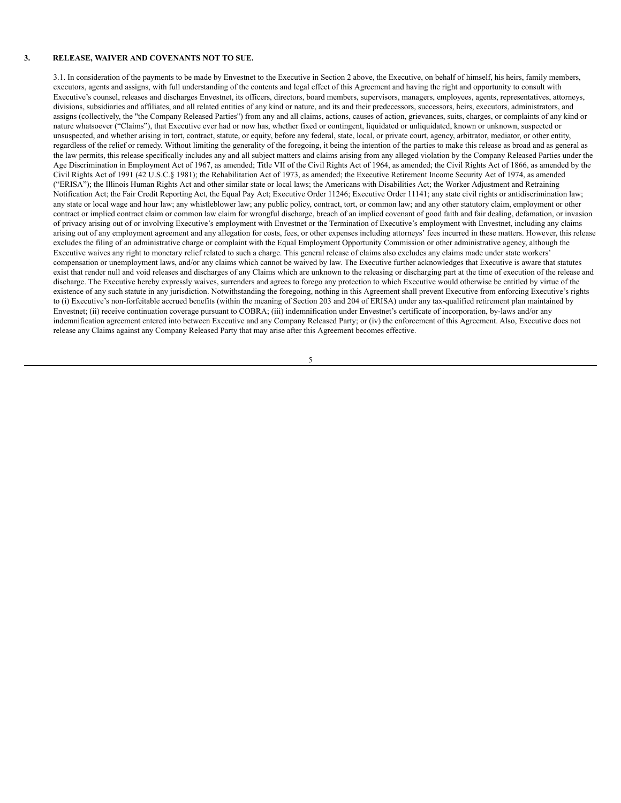#### **3. RELEASE, WAIVER AND COVENANTS NOT TO SUE.**

3.1. In consideration of the payments to be made by Envestnet to the Executive in Section 2 above, the Executive, on behalf of himself, his heirs, family members, executors, agents and assigns, with full understanding of the contents and legal effect of this Agreement and having the right and opportunity to consult with Executive's counsel, releases and discharges Envestnet, its officers, directors, board members, supervisors, managers, employees, agents, representatives, attorneys, divisions, subsidiaries and affiliates, and all related entities of any kind or nature, and its and their predecessors, successors, heirs, executors, administrators, and assigns (collectively, the "the Company Released Parties") from any and all claims, actions, causes of action, grievances, suits, charges, or complaints of any kind or nature whatsoever ("Claims"), that Executive ever had or now has, whether fixed or contingent, liquidated or unliquidated, known or unknown, suspected or unsuspected, and whether arising in tort, contract, statute, or equity, before any federal, state, local, or private court, agency, arbitrator, mediator, or other entity, regardless of the relief or remedy. Without limiting the generality of the foregoing, it being the intention of the parties to make this release as broad and as general as the law permits, this release specifically includes any and all subject matters and claims arising from any alleged violation by the Company Released Parties under the Age Discrimination in Employment Act of 1967, as amended; Title VII of the Civil Rights Act of 1964, as amended; the Civil Rights Act of 1866, as amended by the Civil Rights Act of 1991 (42 U.S.C.§ 1981); the Rehabilitation Act of 1973, as amended; the Executive Retirement Income Security Act of 1974, as amended ("ERISA"); the Illinois Human Rights Act and other similar state or local laws; the Americans with Disabilities Act; the Worker Adjustment and Retraining Notification Act; the Fair Credit Reporting Act, the Equal Pay Act; Executive Order 11246; Executive Order 11141; any state civil rights or antidiscrimination law; any state or local wage and hour law; any whistleblower law; any public policy, contract, tort, or common law; and any other statutory claim, employment or other contract or implied contract claim or common law claim for wrongful discharge, breach of an implied covenant of good faith and fair dealing, defamation, or invasion of privacy arising out of or involving Executive's employment with Envestnet or the Termination of Executive's employment with Envestnet, including any claims arising out of any employment agreement and any allegation for costs, fees, or other expenses including attorneys' fees incurred in these matters. However, this release excludes the filing of an administrative charge or complaint with the Equal Employment Opportunity Commission or other administrative agency, although the Executive waives any right to monetary relief related to such a charge. This general release of claims also excludes any claims made under state workers' compensation or unemployment laws, and/or any claims which cannot be waived by law. The Executive further acknowledges that Executive is aware that statutes exist that render null and void releases and discharges of any Claims which are unknown to the releasing or discharging part at the time of execution of the release and discharge. The Executive hereby expressly waives, surrenders and agrees to forego any protection to which Executive would otherwise be entitled by virtue of the existence of any such statute in any jurisdiction. Notwithstanding the foregoing, nothing in this Agreement shall prevent Executive from enforcing Executive's rights to (i) Executive's non-forfeitable accrued benefits (within the meaning of Section 203 and 204 of ERISA) under any tax-qualified retirement plan maintained by Envestnet; (ii) receive continuation coverage pursuant to COBRA; (iii) indemnification under Envestnet's certificate of incorporation, by-laws and/or any indemnification agreement entered into between Executive and any Company Released Party; or (iv) the enforcement of this Agreement. Also, Executive does not release any Claims against any Company Released Party that may arise after this Agreement becomes effective.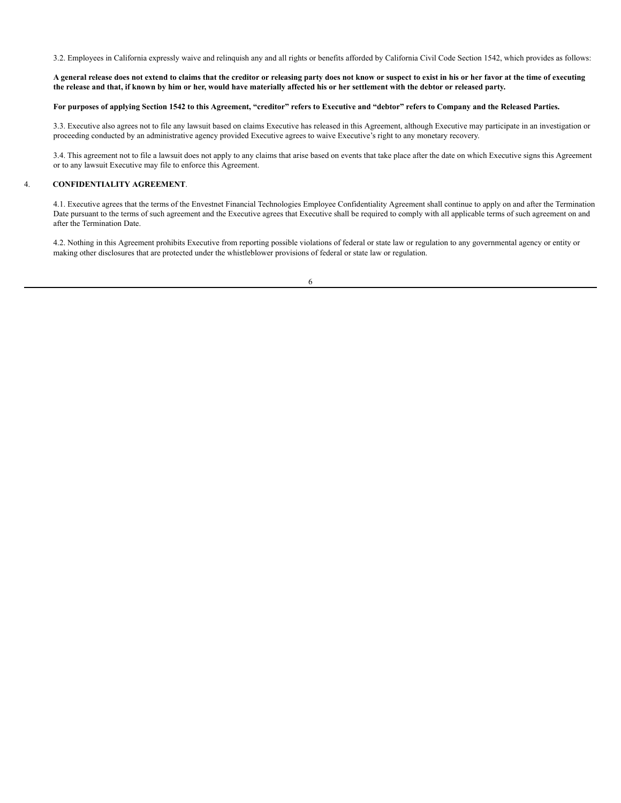3.2. Employees in California expressly waive and relinquish any and all rights or benefits afforded by California Civil Code Section 1542, which provides as follows:

A general release does not extend to claims that the creditor or releasing party does not know or suspect to exist in his or her favor at the time of executing the release and that, if known by him or her, would have materially affected his or her settlement with the debtor or released party.

#### For purposes of applying Section 1542 to this Agreement, "creditor" refers to Executive and "debtor" refers to Company and the Released Parties.

3.3. Executive also agrees not to file any lawsuit based on claims Executive has released in this Agreement, although Executive may participate in an investigation or proceeding conducted by an administrative agency provided Executive agrees to waive Executive's right to any monetary recovery.

3.4. This agreement not to file a lawsuit does not apply to any claims that arise based on events that take place after the date on which Executive signs this Agreement or to any lawsuit Executive may file to enforce this Agreement.

#### 4. **CONFIDENTIALITY AGREEMENT**.

4.1. Executive agrees that the terms of the Envestnet Financial Technologies Employee Confidentiality Agreement shall continue to apply on and after the Termination Date pursuant to the terms of such agreement and the Executive agrees that Executive shall be required to comply with all applicable terms of such agreement on and after the Termination Date.

4.2. Nothing in this Agreement prohibits Executive from reporting possible violations of federal or state law or regulation to any governmental agency or entity or making other disclosures that are protected under the whistleblower provisions of federal or state law or regulation.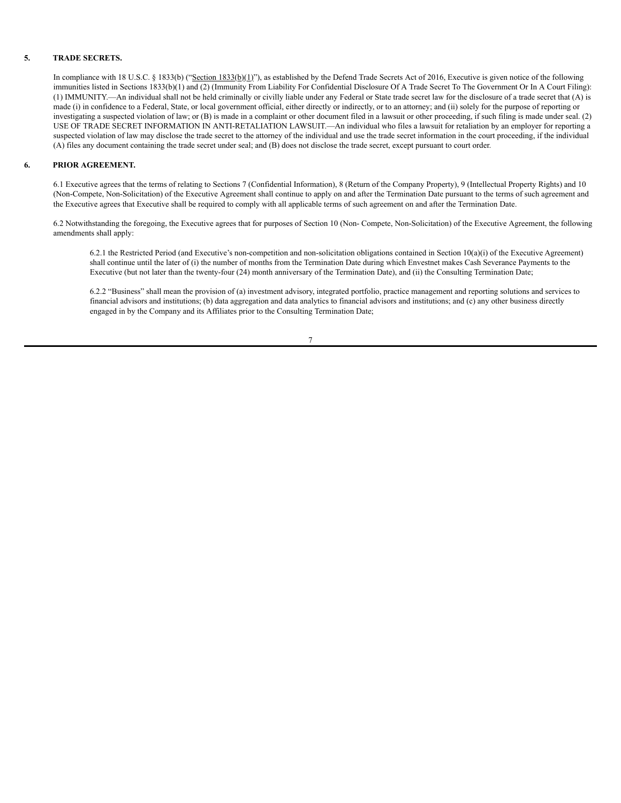# **5. TRADE SECRETS.**

In compliance with 18 U.S.C. § 1833(b) ("Section 1833(b)(1)"), as established by the Defend Trade Secrets Act of 2016, Executive is given notice of the following immunities listed in Sections 1833(b)(1) and (2) (Immunity From Liability For Confidential Disclosure Of A Trade Secret To The Government Or In A Court Filing): (1) IMMUNITY.—An individual shall not be held criminally or civilly liable under any Federal or State trade secret law for the disclosure of a trade secret that (A) is made (i) in confidence to a Federal, State, or local government official, either directly or indirectly, or to an attorney; and (ii) solely for the purpose of reporting or investigating a suspected violation of law; or (B) is made in a complaint or other document filed in a lawsuit or other proceeding, if such filing is made under seal. (2) USE OF TRADE SECRET INFORMATION IN ANTI-RETALIATION LAWSUIT.—An individual who files a lawsuit for retaliation by an employer for reporting a suspected violation of law may disclose the trade secret to the attorney of the individual and use the trade secret information in the court proceeding, if the individual (A) files any document containing the trade secret under seal; and (B) does not disclose the trade secret, except pursuant to court order.

#### **6. PRIOR AGREEMENT.**

6.1 Executive agrees that the terms of relating to Sections 7 (Confidential Information), 8 (Return of the Company Property), 9 (Intellectual Property Rights) and 10 (Non-Compete, Non-Solicitation) of the Executive Agreement shall continue to apply on and after the Termination Date pursuant to the terms of such agreement and the Executive agrees that Executive shall be required to comply with all applicable terms of such agreement on and after the Termination Date.

6.2 Notwithstanding the foregoing, the Executive agrees that for purposes of Section 10 (Non- Compete, Non-Solicitation) of the Executive Agreement, the following amendments shall apply:

6.2.1 the Restricted Period (and Executive's non-competition and non-solicitation obligations contained in Section  $10(a)(i)$  of the Executive Agreement) shall continue until the later of (i) the number of months from the Termination Date during which Envestnet makes Cash Severance Payments to the Executive (but not later than the twenty-four (24) month anniversary of the Termination Date), and (ii) the Consulting Termination Date;

6.2.2 "Business" shall mean the provision of (a) investment advisory, integrated portfolio, practice management and reporting solutions and services to financial advisors and institutions; (b) data aggregation and data analytics to financial advisors and institutions; and (c) any other business directly engaged in by the Company and its Affiliates prior to the Consulting Termination Date;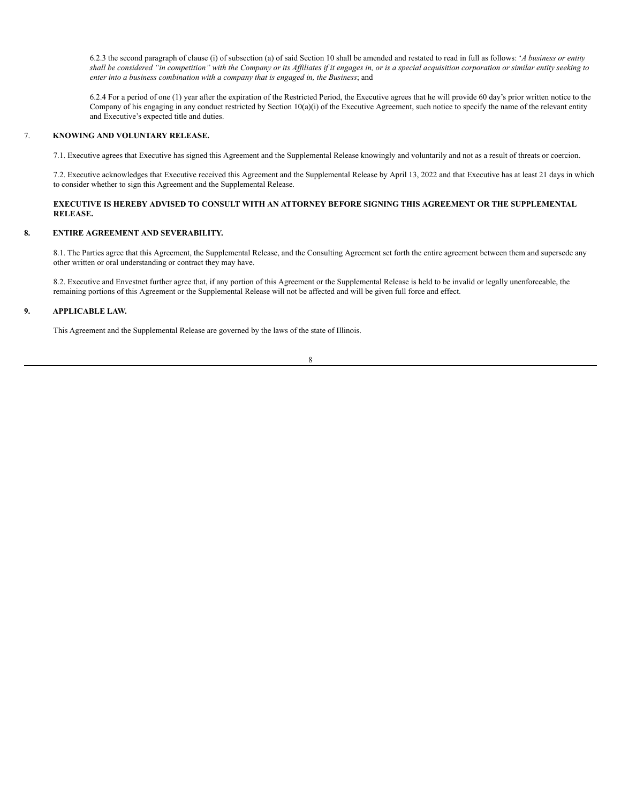6.2.3 the second paragraph of clause (i) of subsection (a) of said Section 10 shall be amended and restated to read in full as follows: '*A business or entity* shall be considered "in competition" with the Company or its Affiliates if it engages in, or is a special acquisition corporation or similar entity seeking to *enter into a business combination with a company that is engaged in, the Business*; and

6.2.4 For a period of one (1) year after the expiration of the Restricted Period, the Executive agrees that he will provide 60 day's prior written notice to the Company of his engaging in any conduct restricted by Section  $10(a)(i)$  of the Executive Agreement, such notice to specify the name of the relevant entity and Executive's expected title and duties.

# 7. **KNOWING AND VOLUNTARY RELEASE.**

7.1. Executive agrees that Executive has signed this Agreement and the Supplemental Release knowingly and voluntarily and not as a result of threats or coercion.

7.2. Executive acknowledges that Executive received this Agreement and the Supplemental Release by April 13, 2022 and that Executive has at least 21 days in which to consider whether to sign this Agreement and the Supplemental Release.

## **EXECUTIVE IS HEREBY ADVISED TO CONSULT WITH AN ATTORNEY BEFORE SIGNING THIS AGREEMENT OR THE SUPPLEMENTAL RELEASE.**

# **8. ENTIRE AGREEMENT AND SEVERABILITY.**

8.1. The Parties agree that this Agreement, the Supplemental Release, and the Consulting Agreement set forth the entire agreement between them and supersede any other written or oral understanding or contract they may have.

8.2. Executive and Envestnet further agree that, if any portion of this Agreement or the Supplemental Release is held to be invalid or legally unenforceable, the remaining portions of this Agreement or the Supplemental Release will not be affected and will be given full force and effect.

# **9. APPLICABLE LAW.**

This Agreement and the Supplemental Release are governed by the laws of the state of Illinois.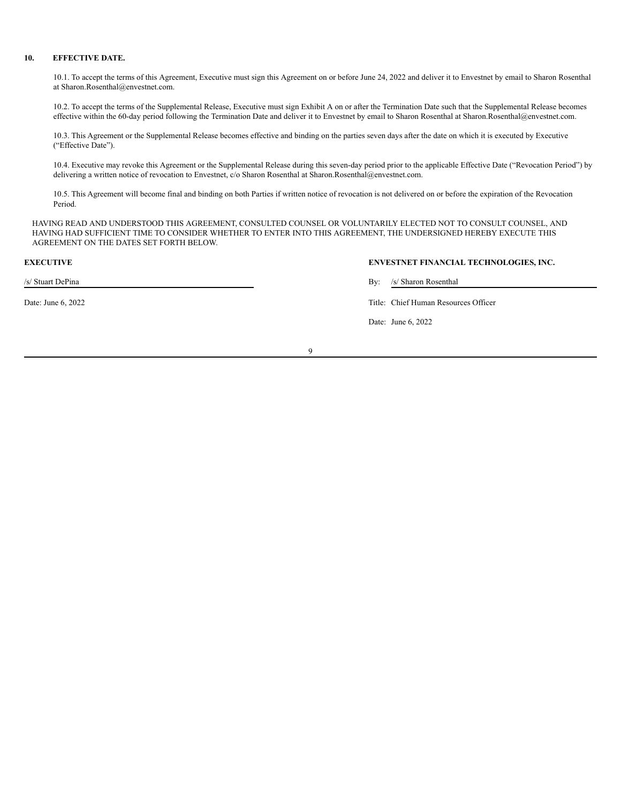# **10. EFFECTIVE DATE.**

10.1. To accept the terms of this Agreement, Executive must sign this Agreement on or before June 24, 2022 and deliver it to Envestnet by email to Sharon Rosenthal at Sharon.Rosenthal@envestnet.com.

10.2. To accept the terms of the Supplemental Release, Executive must sign Exhibit A on or after the Termination Date such that the Supplemental Release becomes effective within the 60-day period following the Termination Date and deliver it to Envestnet by email to Sharon Rosenthal at Sharon.Rosenthal@envestnet.com.

10.3. This Agreement or the Supplemental Release becomes effective and binding on the parties seven days after the date on which it is executed by Executive ("Effective Date").

10.4. Executive may revoke this Agreement or the Supplemental Release during this seven-day period prior to the applicable Effective Date ("Revocation Period") by delivering a written notice of revocation to Envestnet, c/o Sharon Rosenthal at Sharon.Rosenthal@envestnet.com.

10.5. This Agreement will become final and binding on both Parties if written notice of revocation is not delivered on or before the expiration of the Revocation Period.

HAVING READ AND UNDERSTOOD THIS AGREEMENT, CONSULTED COUNSEL OR VOLUNTARILY ELECTED NOT TO CONSULT COUNSEL, AND HAVING HAD SUFFICIENT TIME TO CONSIDER WHETHER TO ENTER INTO THIS AGREEMENT, THE UNDERSIGNED HEREBY EXECUTE THIS AGREEMENT ON THE DATES SET FORTH BELOW.

/s/ Stuart DePina By: /s/ Sharon Rosenthal

**EXECUTIVE ENVESTNET FINANCIAL TECHNOLOGIES, INC.**

Date: June 6, 2022 Title: Chief Human Resources Officer

Date: June 6, 2022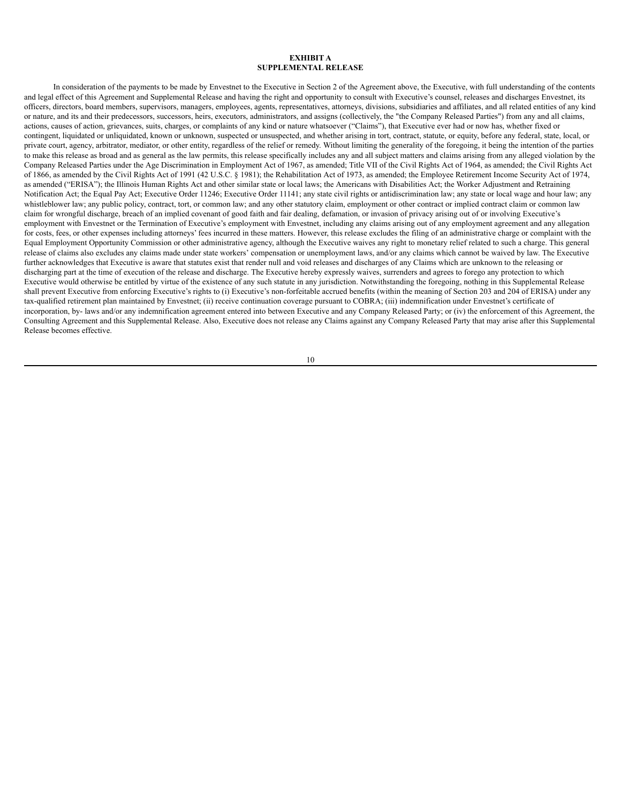## **EXHIBIT A SUPPLEMENTAL RELEASE**

In consideration of the payments to be made by Envestnet to the Executive in Section 2 of the Agreement above, the Executive, with full understanding of the contents and legal effect of this Agreement and Supplemental Release and having the right and opportunity to consult with Executive's counsel, releases and discharges Envestnet, its officers, directors, board members, supervisors, managers, employees, agents, representatives, attorneys, divisions, subsidiaries and affiliates, and all related entities of any kind or nature, and its and their predecessors, successors, heirs, executors, administrators, and assigns (collectively, the "the Company Released Parties") from any and all claims, actions, causes of action, grievances, suits, charges, or complaints of any kind or nature whatsoever ("Claims"), that Executive ever had or now has, whether fixed or contingent, liquidated or unliquidated, known or unknown, suspected or unsuspected, and whether arising in tort, contract, statute, or equity, before any federal, state, local, or private court, agency, arbitrator, mediator, or other entity, regardless of the relief or remedy. Without limiting the generality of the foregoing, it being the intention of the parties to make this release as broad and as general as the law permits, this release specifically includes any and all subject matters and claims arising from any alleged violation by the Company Released Parties under the Age Discrimination in Employment Act of 1967, as amended; Title VII of the Civil Rights Act of 1964, as amended; the Civil Rights Act of 1866, as amended by the Civil Rights Act of 1991 (42 U.S.C. § 1981); the Rehabilitation Act of 1973, as amended; the Employee Retirement Income Security Act of 1974, as amended ("ERISA"); the Illinois Human Rights Act and other similar state or local laws; the Americans with Disabilities Act; the Worker Adjustment and Retraining Notification Act; the Equal Pay Act; Executive Order 11246; Executive Order 11141; any state civil rights or antidiscrimination law; any state or local wage and hour law; any whistleblower law; any public policy, contract, tort, or common law; and any other statutory claim, employment or other contract or implied contract claim or common law claim for wrongful discharge, breach of an implied covenant of good faith and fair dealing, defamation, or invasion of privacy arising out of or involving Executive's employment with Envestnet or the Termination of Executive's employment with Envestnet, including any claims arising out of any employment agreement and any allegation for costs, fees, or other expenses including attorneys' fees incurred in these matters. However, this release excludes the filing of an administrative charge or complaint with the Equal Employment Opportunity Commission or other administrative agency, although the Executive waives any right to monetary relief related to such a charge. This general release of claims also excludes any claims made under state workers' compensation or unemployment laws, and/or any claims which cannot be waived by law. The Executive further acknowledges that Executive is aware that statutes exist that render null and void releases and discharges of any Claims which are unknown to the releasing or discharging part at the time of execution of the release and discharge. The Executive hereby expressly waives, surrenders and agrees to forego any protection to which Executive would otherwise be entitled by virtue of the existence of any such statute in any jurisdiction. Notwithstanding the foregoing, nothing in this Supplemental Release shall prevent Executive from enforcing Executive's rights to (i) Executive's non-forfeitable accrued benefits (within the meaning of Section 203 and 204 of ERISA) under any tax-qualified retirement plan maintained by Envestnet; (ii) receive continuation coverage pursuant to COBRA; (iii) indemnification under Envestnet's certificate of incorporation, by- laws and/or any indemnification agreement entered into between Executive and any Company Released Party; or (iv) the enforcement of this Agreement, the Consulting Agreement and this Supplemental Release. Also, Executive does not release any Claims against any Company Released Party that may arise after this Supplemental Release becomes effective.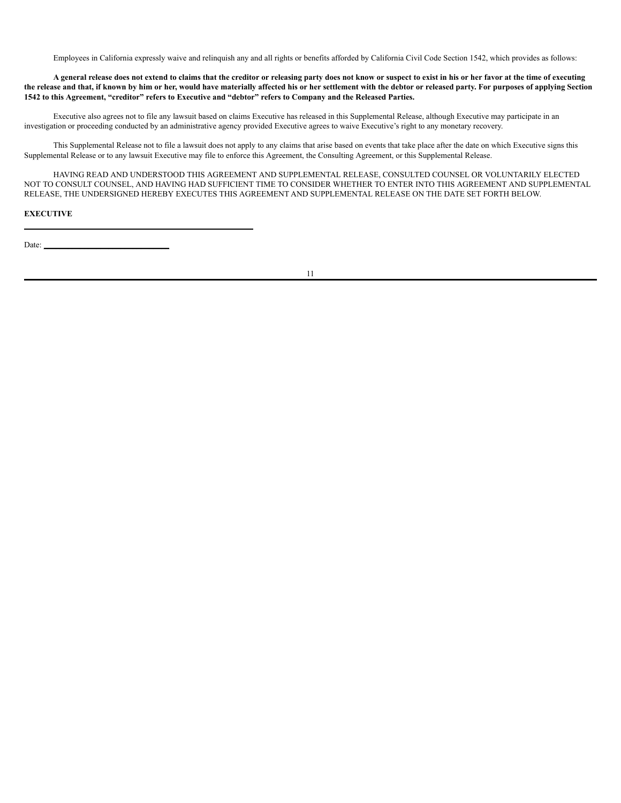Employees in California expressly waive and relinquish any and all rights or benefits afforded by California Civil Code Section 1542, which provides as follows:

A general release does not extend to claims that the creditor or releasing party does not know or suspect to exist in his or her favor at the time of executing the release and that, if known by him or her, would have materially affected his or her settlement with the debtor or released party. For purposes of applying Section 1542 to this Agreement, "creditor" refers to Executive and "debtor" refers to Company and the Released Parties.

Executive also agrees not to file any lawsuit based on claims Executive has released in this Supplemental Release, although Executive may participate in an investigation or proceeding conducted by an administrative agency provided Executive agrees to waive Executive's right to any monetary recovery.

This Supplemental Release not to file a lawsuit does not apply to any claims that arise based on events that take place after the date on which Executive signs this Supplemental Release or to any lawsuit Executive may file to enforce this Agreement, the Consulting Agreement, or this Supplemental Release.

HAVING READ AND UNDERSTOOD THIS AGREEMENT AND SUPPLEMENTAL RELEASE, CONSULTED COUNSEL OR VOLUNTARILY ELECTED NOT TO CONSULT COUNSEL, AND HAVING HAD SUFFICIENT TIME TO CONSIDER WHETHER TO ENTER INTO THIS AGREEMENT AND SUPPLEMENTAL RELEASE, THE UNDERSIGNED HEREBY EXECUTES THIS AGREEMENT AND SUPPLEMENTAL RELEASE ON THE DATE SET FORTH BELOW.

#### **EXECUTIVE**

Date: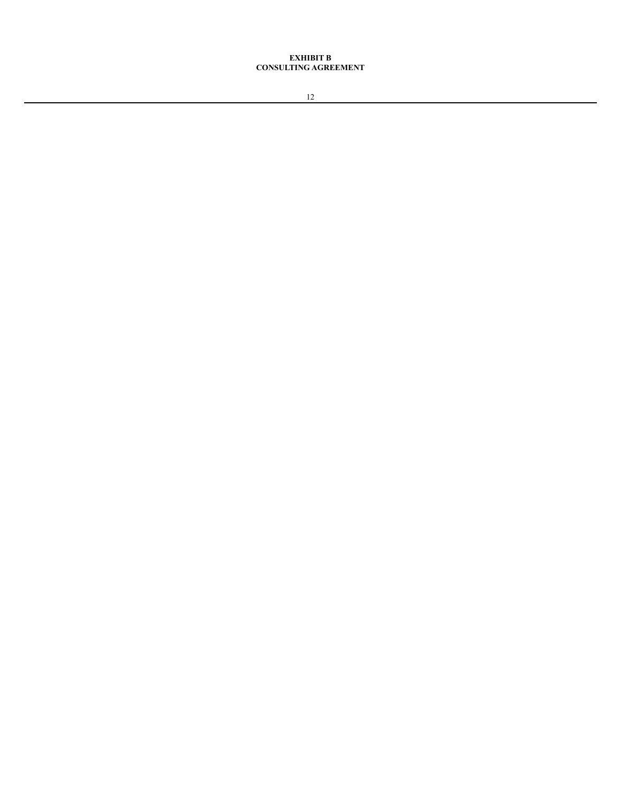# **EXHIBIT B CONSULTING AGREEMENT**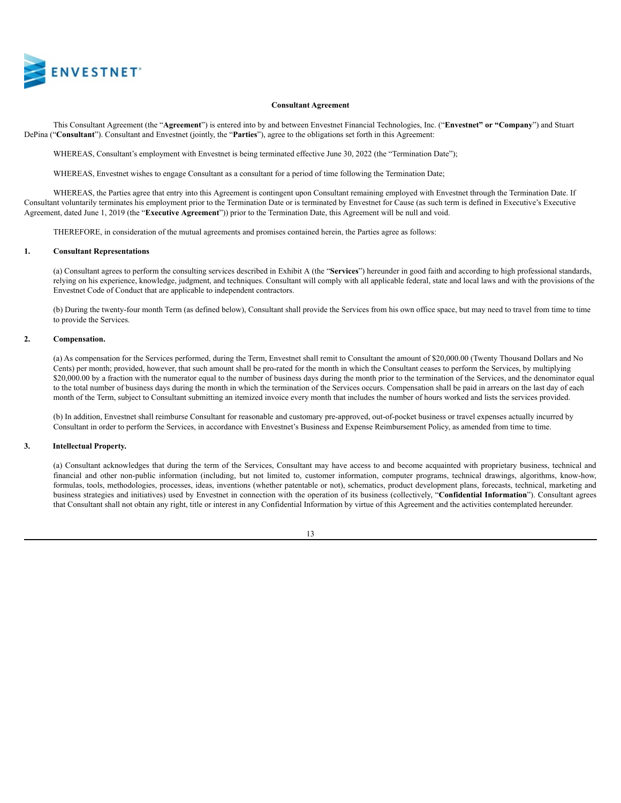

#### **Consultant Agreement**

This Consultant Agreement (the "**Agreement**") is entered into by and between Envestnet Financial Technologies, Inc. ("**Envestnet" or "Company**") and Stuart DePina ("**Consultant**"). Consultant and Envestnet (jointly, the "**Parties**"), agree to the obligations set forth in this Agreement:

WHEREAS, Consultant's employment with Envestnet is being terminated effective June 30, 2022 (the "Termination Date");

WHEREAS, Envestnet wishes to engage Consultant as a consultant for a period of time following the Termination Date;

WHEREAS, the Parties agree that entry into this Agreement is contingent upon Consultant remaining employed with Envestnet through the Termination Date. If Consultant voluntarily terminates his employment prior to the Termination Date or is terminated by Envestnet for Cause (as such term is defined in Executive's Executive Agreement, dated June 1, 2019 (the "**Executive Agreement**")) prior to the Termination Date, this Agreement will be null and void.

THEREFORE, in consideration of the mutual agreements and promises contained herein, the Parties agree as follows:

#### **1. Consultant Representations**

(a) Consultant agrees to perform the consulting services described in Exhibit A (the "**Services**") hereunder in good faith and according to high professional standards, relying on his experience, knowledge, judgment, and techniques. Consultant will comply with all applicable federal, state and local laws and with the provisions of the Envestnet Code of Conduct that are applicable to independent contractors.

(b) During the twenty-four month Term (as defined below), Consultant shall provide the Services from his own office space, but may need to travel from time to time to provide the Services.

#### **2. Compensation.**

(a) As compensation for the Services performed, during the Term, Envestnet shall remit to Consultant the amount of \$20,000.00 (Twenty Thousand Dollars and No Cents) per month; provided, however, that such amount shall be pro-rated for the month in which the Consultant ceases to perform the Services, by multiplying \$20,000.00 by a fraction with the numerator equal to the number of business days during the month prior to the termination of the Services, and the denominator equal to the total number of business days during the month in which the termination of the Services occurs. Compensation shall be paid in arrears on the last day of each month of the Term, subject to Consultant submitting an itemized invoice every month that includes the number of hours worked and lists the services provided.

(b) In addition, Envestnet shall reimburse Consultant for reasonable and customary pre-approved, out-of-pocket business or travel expenses actually incurred by Consultant in order to perform the Services, in accordance with Envestnet's Business and Expense Reimbursement Policy, as amended from time to time.

#### **3. Intellectual Property.**

(a) Consultant acknowledges that during the term of the Services, Consultant may have access to and become acquainted with proprietary business, technical and financial and other non-public information (including, but not limited to, customer information, computer programs, technical drawings, algorithms, know-how, formulas, tools, methodologies, processes, ideas, inventions (whether patentable or not), schematics, product development plans, forecasts, technical, marketing and business strategies and initiatives) used by Envestnet in connection with the operation of its business (collectively, "**Confidential Information**"). Consultant agrees that Consultant shall not obtain any right, title or interest in any Confidential Information by virtue of this Agreement and the activities contemplated hereunder.

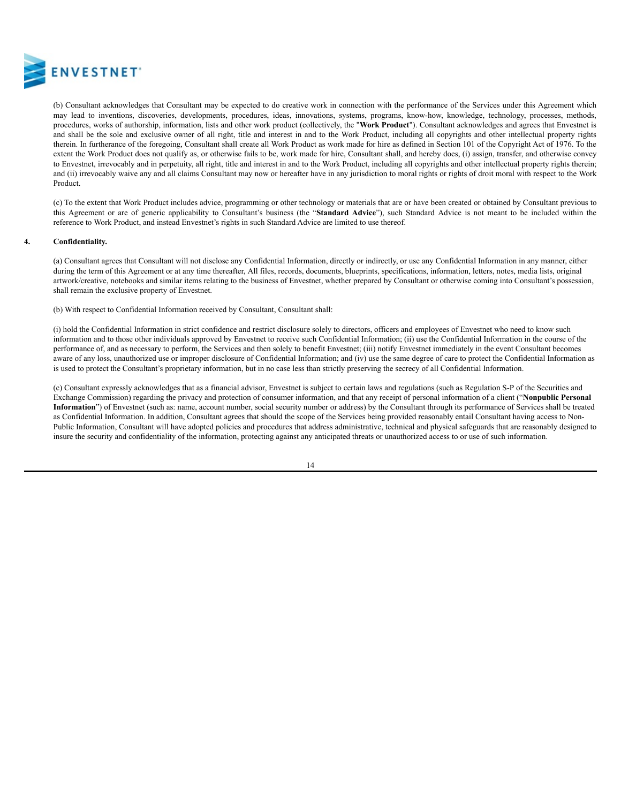

(b) Consultant acknowledges that Consultant may be expected to do creative work in connection with the performance of the Services under this Agreement which may lead to inventions, discoveries, developments, procedures, ideas, innovations, systems, programs, know-how, knowledge, technology, processes, methods, procedures, works of authorship, information, lists and other work product (collectively, the "**Work Product**"). Consultant acknowledges and agrees that Envestnet is and shall be the sole and exclusive owner of all right, title and interest in and to the Work Product, including all copyrights and other intellectual property rights therein. In furtherance of the foregoing, Consultant shall create all Work Product as work made for hire as defined in Section 101 of the Copyright Act of 1976. To the extent the Work Product does not qualify as, or otherwise fails to be, work made for hire, Consultant shall, and hereby does, (i) assign, transfer, and otherwise convey to Envestnet, irrevocably and in perpetuity, all right, title and interest in and to the Work Product, including all copyrights and other intellectual property rights therein; and (ii) irrevocably waive any and all claims Consultant may now or hereafter have in any jurisdiction to moral rights or rights of droit moral with respect to the Work Product.

(c) To the extent that Work Product includes advice, programming or other technology or materials that are or have been created or obtained by Consultant previous to this Agreement or are of generic applicability to Consultant's business (the "**Standard Advice**"), such Standard Advice is not meant to be included within the reference to Work Product, and instead Envestnet's rights in such Standard Advice are limited to use thereof.

#### **4. Confidentiality.**

(a) Consultant agrees that Consultant will not disclose any Confidential Information, directly or indirectly, or use any Confidential Information in any manner, either during the term of this Agreement or at any time thereafter, All files, records, documents, blueprints, specifications, information, letters, notes, media lists, original artwork/creative, notebooks and similar items relating to the business of Envestnet, whether prepared by Consultant or otherwise coming into Consultant's possession, shall remain the exclusive property of Envestnet.

(b) With respect to Confidential Information received by Consultant, Consultant shall:

(i) hold the Confidential Information in strict confidence and restrict disclosure solely to directors, officers and employees of Envestnet who need to know such information and to those other individuals approved by Envestnet to receive such Confidential Information; (ii) use the Confidential Information in the course of the performance of, and as necessary to perform, the Services and then solely to benefit Envestnet; (iii) notify Envestnet immediately in the event Consultant becomes aware of any loss, unauthorized use or improper disclosure of Confidential Information; and (iv) use the same degree of care to protect the Confidential Information as is used to protect the Consultant's proprietary information, but in no case less than strictly preserving the secrecy of all Confidential Information.

(c) Consultant expressly acknowledges that as a financial advisor, Envestnet is subject to certain laws and regulations (such as Regulation S-P of the Securities and Exchange Commission) regarding the privacy and protection of consumer information, and that any receipt of personal information of a client ("**Nonpublic Personal Information**") of Envestnet (such as: name, account number, social security number or address) by the Consultant through its performance of Services shall be treated as Confidential Information. In addition, Consultant agrees that should the scope of the Services being provided reasonably entail Consultant having access to Non-Public Information, Consultant will have adopted policies and procedures that address administrative, technical and physical safeguards that are reasonably designed to insure the security and confidentiality of the information, protecting against any anticipated threats or unauthorized access to or use of such information.

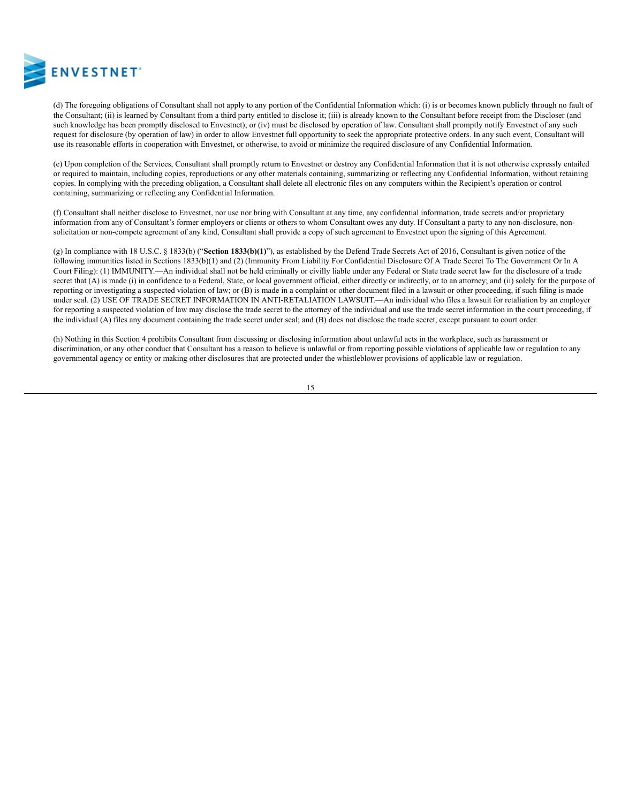

(d) The foregoing obligations of Consultant shall not apply to any portion of the Confidential Information which: (i) is or becomes known publicly through no fault of the Consultant; (ii) is learned by Consultant from a third party entitled to disclose it; (iii) is already known to the Consultant before receipt from the Discloser (and such knowledge has been promptly disclosed to Envestnet); or (iv) must be disclosed by operation of law. Consultant shall promptly notify Envestnet of any such request for disclosure (by operation of law) in order to allow Envestnet full opportunity to seek the appropriate protective orders. In any such event, Consultant will use its reasonable efforts in cooperation with Envestnet, or otherwise, to avoid or minimize the required disclosure of any Confidential Information.

(e) Upon completion of the Services, Consultant shall promptly return to Envestnet or destroy any Confidential Information that it is not otherwise expressly entailed or required to maintain, including copies, reproductions or any other materials containing, summarizing or reflecting any Confidential Information, without retaining copies. In complying with the preceding obligation, a Consultant shall delete all electronic files on any computers within the Recipient's operation or control containing, summarizing or reflecting any Confidential Information.

(f) Consultant shall neither disclose to Envestnet, nor use nor bring with Consultant at any time, any confidential information, trade secrets and/or proprietary information from any of Consultant's former employers or clients or others to whom Consultant owes any duty. If Consultant a party to any non-disclosure, nonsolicitation or non-compete agreement of any kind, Consultant shall provide a copy of such agreement to Envestnet upon the signing of this Agreement.

(g) In compliance with 18 U.S.C. § 1833(b) ("**Section 1833(b)(1)**"), as established by the Defend Trade Secrets Act of 2016, Consultant is given notice of the following immunities listed in Sections 1833(b)(1) and (2) (Immunity From Liability For Confidential Disclosure Of A Trade Secret To The Government Or In A Court Filing): (1) IMMUNITY.—An individual shall not be held criminally or civilly liable under any Federal or State trade secret law for the disclosure of a trade secret that (A) is made (i) in confidence to a Federal, State, or local government official, either directly or indirectly, or to an attorney; and (ii) solely for the purpose of reporting or investigating a suspected violation of law; or (B) is made in a complaint or other document filed in a lawsuit or other proceeding, if such filing is made under seal. (2) USE OF TRADE SECRET INFORMATION IN ANTI-RETALIATION LAWSUIT.—An individual who files a lawsuit for retaliation by an employer for reporting a suspected violation of law may disclose the trade secret to the attorney of the individual and use the trade secret information in the court proceeding, if the individual (A) files any document containing the trade secret under seal; and (B) does not disclose the trade secret, except pursuant to court order.

(h) Nothing in this Section 4 prohibits Consultant from discussing or disclosing information about unlawful acts in the workplace, such as harassment or discrimination, or any other conduct that Consultant has a reason to believe is unlawful or from reporting possible violations of applicable law or regulation to any governmental agency or entity or making other disclosures that are protected under the whistleblower provisions of applicable law or regulation.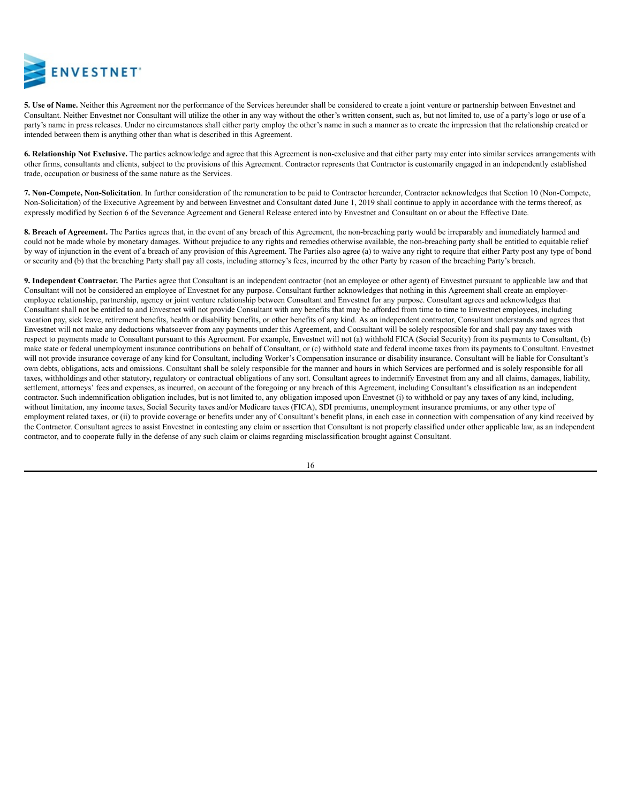

**5. Use of Name.** Neither this Agreement nor the performance of the Services hereunder shall be considered to create a joint venture or partnership between Envestnet and Consultant. Neither Envestnet nor Consultant will utilize the other in any way without the other's written consent, such as, but not limited to, use of a party's logo or use of a party's name in press releases. Under no circumstances shall either party employ the other's name in such a manner as to create the impression that the relationship created or intended between them is anything other than what is described in this Agreement.

**6. Relationship Not Exclusive.** The parties acknowledge and agree that this Agreement is non-exclusive and that either party may enter into similar services arrangements with other firms, consultants and clients, subject to the provisions of this Agreement. Contractor represents that Contractor is customarily engaged in an independently established trade, occupation or business of the same nature as the Services.

**7. Non-Compete, Non-Solicitation**. In further consideration of the remuneration to be paid to Contractor hereunder, Contractor acknowledges that Section 10 (Non-Compete, Non-Solicitation) of the Executive Agreement by and between Envestnet and Consultant dated June 1, 2019 shall continue to apply in accordance with the terms thereof, as expressly modified by Section 6 of the Severance Agreement and General Release entered into by Envestnet and Consultant on or about the Effective Date.

**8. Breach of Agreement.** The Parties agrees that, in the event of any breach of this Agreement, the non-breaching party would be irreparably and immediately harmed and could not be made whole by monetary damages. Without prejudice to any rights and remedies otherwise available, the non-breaching party shall be entitled to equitable relief by way of injunction in the event of a breach of any provision of this Agreement. The Parties also agree (a) to waive any right to require that either Party post any type of bond or security and (b) that the breaching Party shall pay all costs, including attorney's fees, incurred by the other Party by reason of the breaching Party's breach.

**9. Independent Contractor.** The Parties agree that Consultant is an independent contractor (not an employee or other agent) of Envestnet pursuant to applicable law and that Consultant will not be considered an employee of Envestnet for any purpose. Consultant further acknowledges that nothing in this Agreement shall create an employeremployee relationship, partnership, agency or joint venture relationship between Consultant and Envestnet for any purpose. Consultant agrees and acknowledges that Consultant shall not be entitled to and Envestnet will not provide Consultant with any benefits that may be afforded from time to time to Envestnet employees, including vacation pay, sick leave, retirement benefits, health or disability benefits, or other benefits of any kind. As an independent contractor, Consultant understands and agrees that Envestnet will not make any deductions whatsoever from any payments under this Agreement, and Consultant will be solely responsible for and shall pay any taxes with respect to payments made to Consultant pursuant to this Agreement. For example, Envestnet will not (a) withhold FICA (Social Security) from its payments to Consultant, (b) make state or federal unemployment insurance contributions on behalf of Consultant, or (c) withhold state and federal income taxes from its payments to Consultant. Envestnet will not provide insurance coverage of any kind for Consultant, including Worker's Compensation insurance or disability insurance. Consultant will be liable for Consultant's own debts, obligations, acts and omissions. Consultant shall be solely responsible for the manner and hours in which Services are performed and is solely responsible for all taxes, withholdings and other statutory, regulatory or contractual obligations of any sort. Consultant agrees to indemnify Envestnet from any and all claims, damages, liability, settlement, attorneys' fees and expenses, as incurred, on account of the foregoing or any breach of this Agreement, including Consultant's classification as an independent contractor. Such indemnification obligation includes, but is not limited to, any obligation imposed upon Envestnet (i) to withhold or pay any taxes of any kind, including, without limitation, any income taxes, Social Security taxes and/or Medicare taxes (FICA), SDI premiums, unemployment insurance premiums, or any other type of employment related taxes, or (ii) to provide coverage or benefits under any of Consultant's benefit plans, in each case in connection with compensation of any kind received by the Contractor. Consultant agrees to assist Envestnet in contesting any claim or assertion that Consultant is not properly classified under other applicable law, as an independent contractor, and to cooperate fully in the defense of any such claim or claims regarding misclassification brought against Consultant.

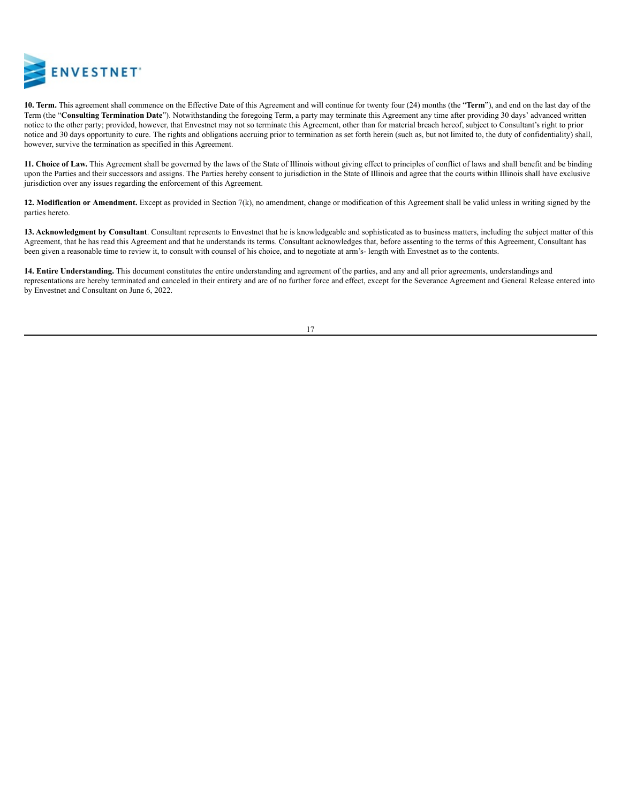

**10. Term.** This agreement shall commence on the Effective Date of this Agreement and will continue for twenty four (24) months (the "**Term**"), and end on the last day of the Term (the "**Consulting Termination Date**"). Notwithstanding the foregoing Term, a party may terminate this Agreement any time after providing 30 days' advanced written notice to the other party; provided, however, that Envestnet may not so terminate this Agreement, other than for material breach hereof, subject to Consultant's right to prior notice and 30 days opportunity to cure. The rights and obligations accruing prior to termination as set forth herein (such as, but not limited to, the duty of confidentiality) shall, however, survive the termination as specified in this Agreement.

**11. Choice of Law.** This Agreement shall be governed by the laws of the State of Illinois without giving effect to principles of conflict of laws and shall benefit and be binding upon the Parties and their successors and assigns. The Parties hereby consent to jurisdiction in the State of Illinois and agree that the courts within Illinois shall have exclusive jurisdiction over any issues regarding the enforcement of this Agreement.

**12. Modification or Amendment.** Except as provided in Section 7(k), no amendment, change or modification of this Agreement shall be valid unless in writing signed by the parties hereto.

**13. Acknowledgment by Consultant**. Consultant represents to Envestnet that he is knowledgeable and sophisticated as to business matters, including the subject matter of this Agreement, that he has read this Agreement and that he understands its terms. Consultant acknowledges that, before assenting to the terms of this Agreement, Consultant has been given a reasonable time to review it, to consult with counsel of his choice, and to negotiate at arm's- length with Envestnet as to the contents.

**14. Entire Understanding.** This document constitutes the entire understanding and agreement of the parties, and any and all prior agreements, understandings and representations are hereby terminated and canceled in their entirety and are of no further force and effect, except for the Severance Agreement and General Release entered into by Envestnet and Consultant on June 6, 2022.

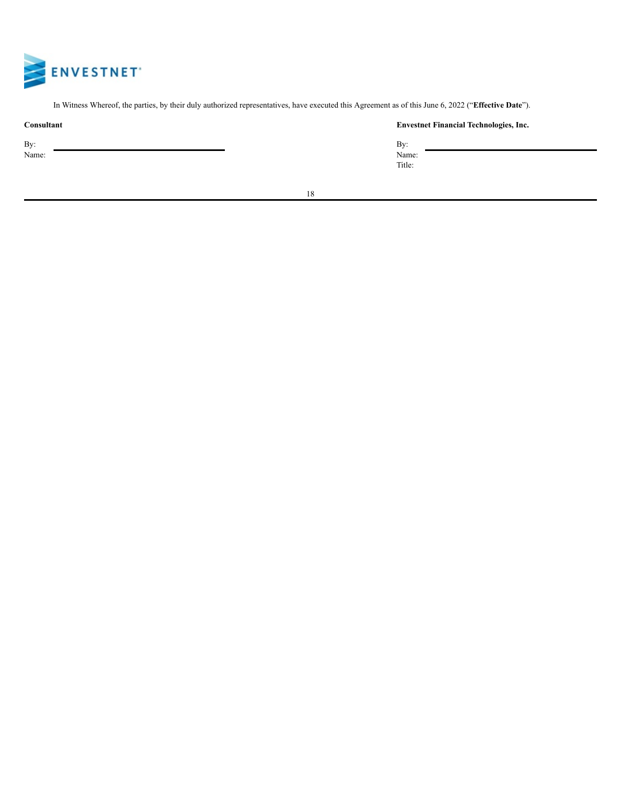

In Witness Whereof, the parties, by their duly authorized representatives, have executed this Agreement as of this June 6, 2022 ("**Effective Date**").

| Consultant   | <b>Envest</b>          |
|--------------|------------------------|
| By:<br>Name: | Bv:<br>Name:<br>Title: |

# **Consultant Envestnet Financial Technologies, Inc.**

| By:    |  |
|--------|--|
| Name:  |  |
| Title: |  |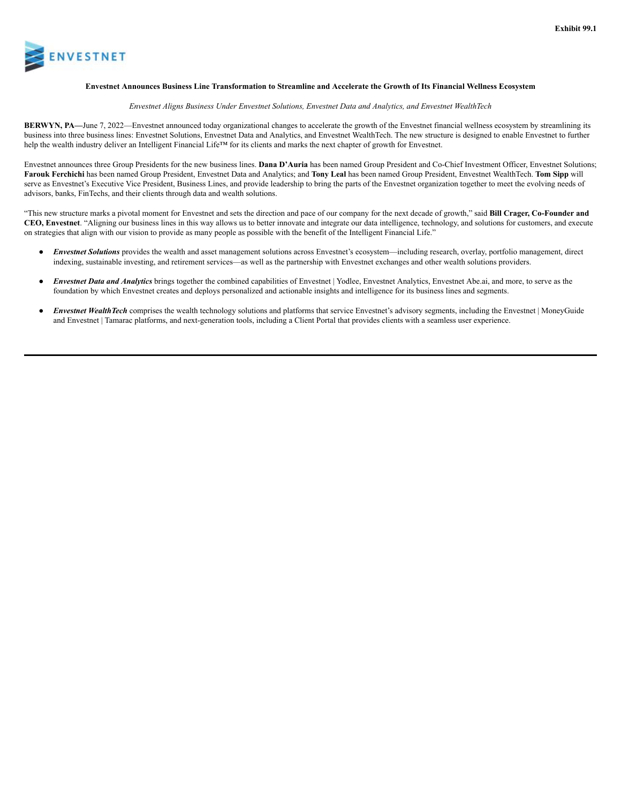

#### Envestnet Announces Business Line Transformation to Streamline and Accelerate the Growth of Its Financial Wellness Ecosystem

#### *Envestnet Aligns Business Under Envestnet Solutions, Envestnet Data and Analytics, and Envestnet WealthTech*

**BERWYN, PA—**June 7, 2022—Envestnet announced today organizational changes to accelerate the growth of the Envestnet financial wellness ecosystem by streamlining its business into three business lines: Envestnet Solutions, Envestnet Data and Analytics, and Envestnet WealthTech. The new structure is designed to enable Envestnet to further help the wealth industry deliver an Intelligent Financial Life™ for its clients and marks the next chapter of growth for Envestnet.

Envestnet announces three Group Presidents for the new business lines. **Dana D'Auria** has been named Group President and Co-Chief Investment Officer, Envestnet Solutions; **Farouk Ferchichi** has been named Group President, Envestnet Data and Analytics; and **Tony Leal** has been named Group President, Envestnet WealthTech. **Tom Sipp** will serve as Envestnet's Executive Vice President, Business Lines, and provide leadership to bring the parts of the Envestnet organization together to meet the evolving needs of advisors, banks, FinTechs, and their clients through data and wealth solutions.

"This new structure marks a pivotal moment for Envestnet and sets the direction and pace of our company for the next decade of growth," said **Bill Crager, Co-Founder and CEO, Envestnet**. "Aligning our business lines in this way allows us to better innovate and integrate our data intelligence, technology, and solutions for customers, and execute on strategies that align with our vision to provide as many people as possible with the benefit of the Intelligent Financial Life."

- *Envestnet Solutions* provides the wealth and asset management solutions across Envestnet's ecosystem—including research, overlay, portfolio management, direct indexing, sustainable investing, and retirement services—as well as the partnership with Envestnet exchanges and other wealth solutions providers.
- **Envestnet Data and Analytics** brings together the combined capabilities of Envestnet | Yodlee, Envestnet Analytics, Envestnet Abe.ai, and more, to serve as the foundation by which Envestnet creates and deploys personalized and actionable insights and intelligence for its business lines and segments.
- **Envestnet WealthTech** comprises the wealth technology solutions and platforms that service Envestnet's advisory segments, including the Envestnet | MoneyGuide and Envestnet | Tamarac platforms, and next-generation tools, including a Client Portal that provides clients with a seamless user experience.